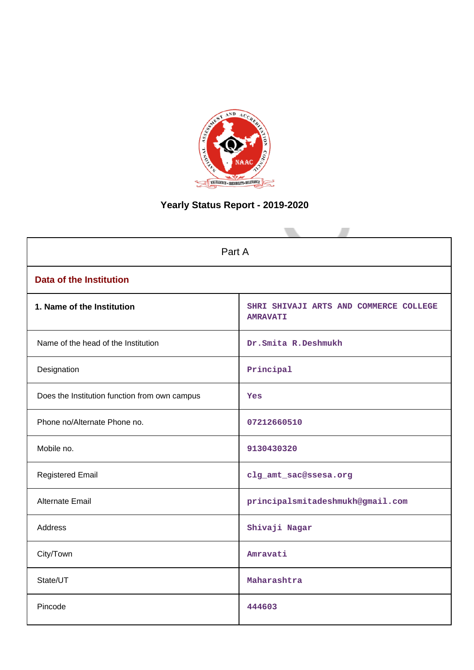

# **Yearly Status Report - 2019-2020**

| Part A                                        |                                                           |  |  |  |
|-----------------------------------------------|-----------------------------------------------------------|--|--|--|
| <b>Data of the Institution</b>                |                                                           |  |  |  |
| 1. Name of the Institution                    | SHRI SHIVAJI ARTS AND COMMERCE COLLEGE<br><b>AMRAVATI</b> |  |  |  |
| Name of the head of the Institution           | Dr.Smita R.Deshmukh                                       |  |  |  |
| Designation                                   | Principal                                                 |  |  |  |
| Does the Institution function from own campus | Yes                                                       |  |  |  |
| Phone no/Alternate Phone no.                  | 07212660510                                               |  |  |  |
| Mobile no.                                    | 9130430320                                                |  |  |  |
| <b>Registered Email</b>                       | clg_amt_sac@ssesa.org                                     |  |  |  |
| <b>Alternate Email</b>                        | principalsmitadeshmukh@gmail.com                          |  |  |  |
| <b>Address</b>                                | Shivaji Nagar                                             |  |  |  |
| City/Town                                     | Amravati                                                  |  |  |  |
| State/UT                                      | Maharashtra                                               |  |  |  |
| Pincode                                       | 444603                                                    |  |  |  |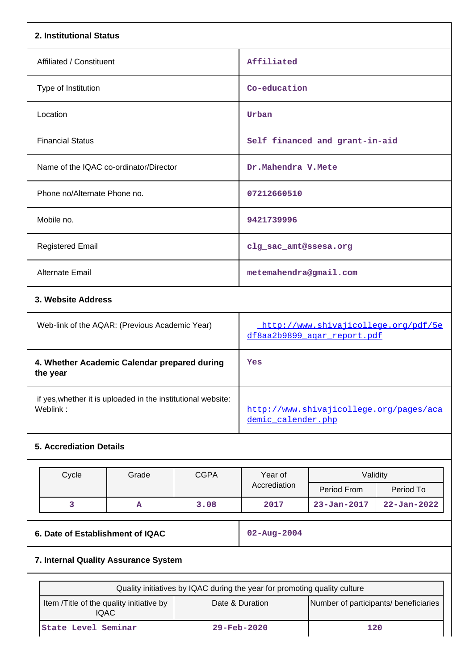| 2. Institutional Status                                                  |                                                |             |                                                                           |                                |                   |
|--------------------------------------------------------------------------|------------------------------------------------|-------------|---------------------------------------------------------------------------|--------------------------------|-------------------|
| Affiliated / Constituent                                                 |                                                |             | Affiliated                                                                |                                |                   |
| Type of Institution                                                      |                                                |             | Co-education                                                              |                                |                   |
| Location                                                                 |                                                |             | Urban                                                                     |                                |                   |
| <b>Financial Status</b>                                                  |                                                |             |                                                                           | Self financed and grant-in-aid |                   |
| Name of the IQAC co-ordinator/Director                                   |                                                |             | Dr.Mahendra V.Mete                                                        |                                |                   |
| Phone no/Alternate Phone no.                                             |                                                |             | 07212660510                                                               |                                |                   |
| Mobile no.                                                               |                                                |             | 9421739996                                                                |                                |                   |
| <b>Registered Email</b>                                                  |                                                |             | clg_sac_amt@ssesa.org                                                     |                                |                   |
| <b>Alternate Email</b>                                                   |                                                |             | metemahendra@gmail.com                                                    |                                |                   |
| 3. Website Address                                                       |                                                |             |                                                                           |                                |                   |
|                                                                          | Web-link of the AQAR: (Previous Academic Year) |             | http://www.shivajicollege.org/pdf/5e<br>df8aa2b9899 agar report.pdf       |                                |                   |
| 4. Whether Academic Calendar prepared during<br>the year                 |                                                |             | Yes                                                                       |                                |                   |
| if yes, whether it is uploaded in the institutional website:<br>Weblink: |                                                |             | http://www.shivajicollege.org/pages/aca<br>demic calender.php             |                                |                   |
| <b>5. Accrediation Details</b>                                           |                                                |             |                                                                           |                                |                   |
| Cycle                                                                    | Grade                                          | <b>CGPA</b> | Year of                                                                   | Validity                       |                   |
|                                                                          |                                                |             | Accrediation                                                              | Period From                    | Period To         |
| 3                                                                        | A                                              | 3.08        | 2017                                                                      | $23 - Jan - 2017$              | $22 - Jan - 2022$ |
| 6. Date of Establishment of IQAC                                         |                                                |             | 02-Aug-2004                                                               |                                |                   |
| 7. Internal Quality Assurance System                                     |                                                |             |                                                                           |                                |                   |
|                                                                          |                                                |             | Quality initiatives by IQAC during the year for promoting quality culture |                                |                   |
| Item /Title of the quality initiative by<br><b>IQAC</b>                  |                                                |             | Date & Duration<br>Number of participants/ beneficiaries                  |                                |                   |
| State Level Seminar                                                      |                                                |             | 29-Feb-2020                                                               | 120                            |                   |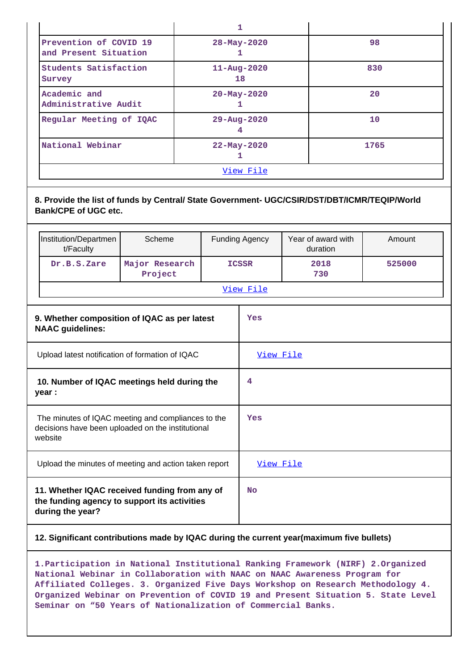| Prevention of COVID 19<br>and Present Situation | $28 - May - 2020$       | 98   |  |  |
|-------------------------------------------------|-------------------------|------|--|--|
| Students Satisfaction<br>Survey                 | $11 - Aug - 2020$<br>18 | 830  |  |  |
| Academic and<br>Administrative Audit            | $20 - May - 2020$       | 20   |  |  |
| Regular Meeting of IQAC                         | $29 - Aug - 2020$       | 10   |  |  |
| National Webinar                                | $22 - May - 2020$       | 1765 |  |  |
| View File                                       |                         |      |  |  |

**8. Provide the list of funds by Central/ State Government- UGC/CSIR/DST/DBT/ICMR/TEQIP/World Bank/CPE of UGC etc.**

|                                                                                                                    | Institution/Departmen<br>t/Faculty              | Scheme                                       |           | <b>Funding Agency</b> | Year of award with<br>duration | Amount |
|--------------------------------------------------------------------------------------------------------------------|-------------------------------------------------|----------------------------------------------|-----------|-----------------------|--------------------------------|--------|
|                                                                                                                    | Dr.B.S.Zare                                     | Major Research<br>Project                    |           | <b>ICSSR</b>          | 2018<br>730                    | 525000 |
|                                                                                                                    |                                                 |                                              |           | View File             |                                |        |
|                                                                                                                    | <b>NAAC</b> guidelines:                         | 9. Whether composition of IQAC as per latest |           | Yes                   |                                |        |
|                                                                                                                    | Upload latest notification of formation of IQAC |                                              | View File |                       |                                |        |
| 10. Number of IQAC meetings held during the<br>year :                                                              |                                                 | 4                                            |           |                       |                                |        |
| The minutes of IQAC meeting and compliances to the<br>decisions have been uploaded on the institutional<br>website |                                                 |                                              | Yes       |                       |                                |        |
| Upload the minutes of meeting and action taken report                                                              |                                                 |                                              | View File |                       |                                |        |
| 11. Whether IQAC received funding from any of<br>the funding agency to support its activities<br>during the year?  |                                                 |                                              | <b>No</b> |                       |                                |        |

## **12. Significant contributions made by IQAC during the current year(maximum five bullets)**

**1.Participation in National Institutional Ranking Framework (NIRF) 2.Organized National Webinar in Collaboration with NAAC on NAAC Awareness Program for Affiliated Colleges. 3. Organized Five Days Workshop on Research Methodology 4. Organized Webinar on Prevention of COVID 19 and Present Situation 5. State Level Seminar on "50 Years of Nationalization of Commercial Banks.**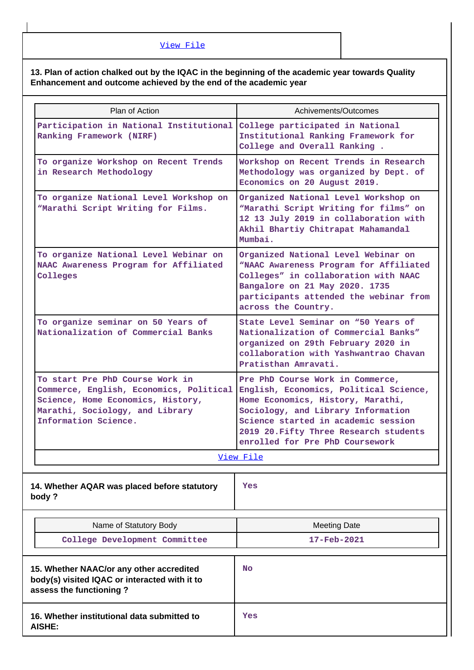# **13. Plan of action chalked out by the IQAC in the beginning of the academic year towards Quality Enhancement and outcome achieved by the end of the academic year**

| Plan of Action                                                                                                                                                             | Achivements/Outcomes                                                                                                                                                                                                                                                      |
|----------------------------------------------------------------------------------------------------------------------------------------------------------------------------|---------------------------------------------------------------------------------------------------------------------------------------------------------------------------------------------------------------------------------------------------------------------------|
| Participation in National Institutional<br>Ranking Framework (NIRF)                                                                                                        | College participated in National<br>Institutional Ranking Framework for<br>College and Overall Ranking.                                                                                                                                                                   |
| To organize Workshop on Recent Trends<br>in Research Methodology                                                                                                           | Workshop on Recent Trends in Research<br>Methodology was organized by Dept. of<br>Economics on 20 August 2019.                                                                                                                                                            |
| To organize National Level Workshop on<br>"Marathi Script Writing for Films.                                                                                               | Organized National Level Workshop on<br>"Marathi Script Writing for films" on<br>12 13 July 2019 in collaboration with<br>Akhil Bhartiy Chitrapat Mahamandal<br>Mumbai.                                                                                                   |
| To organize National Level Webinar on<br>NAAC Awareness Program for Affiliated<br>Colleges                                                                                 | Organized National Level Webinar on<br>"NAAC Awareness Program for Affiliated<br>Colleges" in collaboration with NAAC<br>Bangalore on 21 May 2020. 1735<br>participants attended the webinar from<br>across the Country.                                                  |
| To organize seminar on 50 Years of<br>Nationalization of Commercial Banks                                                                                                  | State Level Seminar on "50 Years of<br>Nationalization of Commercial Banks"<br>organized on 29th February 2020 in<br>collaboration with Yashwantrao Chavan<br>Pratisthan Amravati.                                                                                        |
| To start Pre PhD Course Work in<br>Commerce, English, Economics, Political<br>Science, Home Economics, History,<br>Marathi, Sociology, and Library<br>Information Science. | Pre PhD Course Work in Commerce,<br>English, Economics, Political Science,<br>Home Economics, History, Marathi,<br>Sociology, and Library Information<br>Science started in academic session<br>2019 20. Fifty Three Research students<br>enrolled for Pre PhD Coursework |
|                                                                                                                                                                            | View File                                                                                                                                                                                                                                                                 |
| 14. Whether AQAR was placed before statutory<br>body?                                                                                                                      | Yes                                                                                                                                                                                                                                                                       |
| Name of Statutory Body                                                                                                                                                     | <b>Meeting Date</b>                                                                                                                                                                                                                                                       |
| College Development Committee                                                                                                                                              | 17-Feb-2021                                                                                                                                                                                                                                                               |
| 15. Whether NAAC/or any other accredited<br>body(s) visited IQAC or interacted with it to<br>assess the functioning?                                                       | No                                                                                                                                                                                                                                                                        |
| 16. Whether institutional data submitted to<br><b>AISHE:</b>                                                                                                               | Yes                                                                                                                                                                                                                                                                       |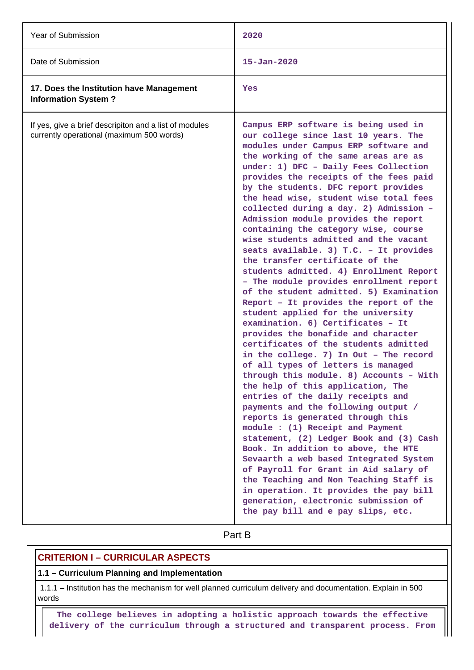| Year of Submission                                                                                  | 2020                                                                                                                                                                                                                                                                                                                                                                                                                                                                                                                                                                                                                                                                                                                                                                                                                                                                                                                                                                                                                                                                                                                                                                                                                                                                                                                                                                                                                                                                                                                                                                                 |
|-----------------------------------------------------------------------------------------------------|--------------------------------------------------------------------------------------------------------------------------------------------------------------------------------------------------------------------------------------------------------------------------------------------------------------------------------------------------------------------------------------------------------------------------------------------------------------------------------------------------------------------------------------------------------------------------------------------------------------------------------------------------------------------------------------------------------------------------------------------------------------------------------------------------------------------------------------------------------------------------------------------------------------------------------------------------------------------------------------------------------------------------------------------------------------------------------------------------------------------------------------------------------------------------------------------------------------------------------------------------------------------------------------------------------------------------------------------------------------------------------------------------------------------------------------------------------------------------------------------------------------------------------------------------------------------------------------|
| Date of Submission                                                                                  | $15 - Jan - 2020$                                                                                                                                                                                                                                                                                                                                                                                                                                                                                                                                                                                                                                                                                                                                                                                                                                                                                                                                                                                                                                                                                                                                                                                                                                                                                                                                                                                                                                                                                                                                                                    |
| 17. Does the Institution have Management<br><b>Information System?</b>                              | Yes                                                                                                                                                                                                                                                                                                                                                                                                                                                                                                                                                                                                                                                                                                                                                                                                                                                                                                                                                                                                                                                                                                                                                                                                                                                                                                                                                                                                                                                                                                                                                                                  |
| If yes, give a brief descripiton and a list of modules<br>currently operational (maximum 500 words) | Campus ERP software is being used in<br>our college since last 10 years. The<br>modules under Campus ERP software and<br>the working of the same areas are as<br>under: 1) DFC - Daily Fees Collection<br>provides the receipts of the fees paid<br>by the students. DFC report provides<br>the head wise, student wise total fees<br>collected during a day. 2) Admission -<br>Admission module provides the report<br>containing the category wise, course<br>wise students admitted and the vacant<br>seats available. 3) T.C. - It provides<br>the transfer certificate of the<br>students admitted. 4) Enrollment Report<br>- The module provides enrollment report<br>of the student admitted. 5) Examination<br>Report - It provides the report of the<br>student applied for the university<br>examination. 6) Certificates - It<br>provides the bonafide and character<br>certificates of the students admitted<br>in the college. 7) In Out - The record<br>of all types of letters is managed<br>through this module. 8) Accounts - With<br>the help of this application, The<br>entries of the daily receipts and<br>payments and the following output /<br>reports is generated through this<br>module : (1) Receipt and Payment<br>statement, (2) Ledger Book and (3) Cash<br>Book. In addition to above, the HTE<br>Sevaarth a web based Integrated System<br>of Payroll for Grant in Aid salary of<br>the Teaching and Non Teaching Staff is<br>in operation. It provides the pay bill<br>generation, electronic submission of<br>the pay bill and e pay slips, etc. |
|                                                                                                     | Part B                                                                                                                                                                                                                                                                                                                                                                                                                                                                                                                                                                                                                                                                                                                                                                                                                                                                                                                                                                                                                                                                                                                                                                                                                                                                                                                                                                                                                                                                                                                                                                               |

# **CRITERION I – CURRICULAR ASPECTS**

# **1.1 – Curriculum Planning and Implementation**

 1.1.1 – Institution has the mechanism for well planned curriculum delivery and documentation. Explain in 500 words

 **The college believes in adopting a holistic approach towards the effective delivery of the curriculum through a structured and transparent process. From**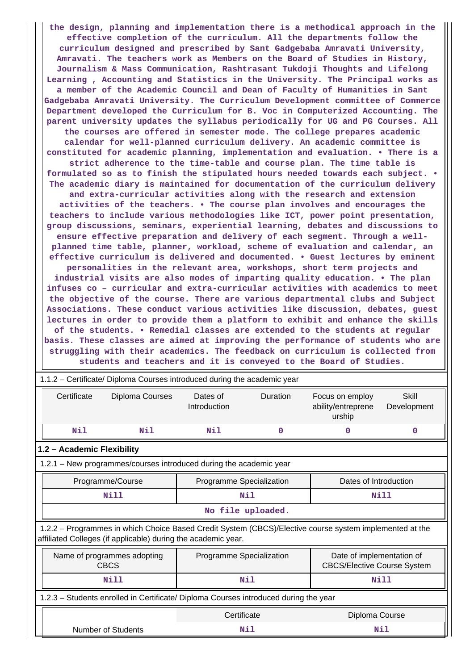**the design, planning and implementation there is a methodical approach in the effective completion of the curriculum. All the departments follow the curriculum designed and prescribed by Sant Gadgebaba Amravati University, Amravati. The teachers work as Members on the Board of Studies in History, Journalism & Mass Communication, Rashtrasant Tukdoji Thoughts and Lifelong Learning , Accounting and Statistics in the University. The Principal works as a member of the Academic Council and Dean of Faculty of Humanities in Sant Gadgebaba Amravati University. The Curriculum Development committee of Commerce Department developed the Curriculum for B. Voc in Computerized Accounting. The parent university updates the syllabus periodically for UG and PG Courses. All the courses are offered in semester mode. The college prepares academic calendar for well-planned curriculum delivery. An academic committee is constituted for academic planning, implementation and evaluation. • There is a strict adherence to the time-table and course plan. The time table is formulated so as to finish the stipulated hours needed towards each subject. • The academic diary is maintained for documentation of the curriculum delivery and extra-curricular activities along with the research and extension activities of the teachers. • The course plan involves and encourages the teachers to include various methodologies like ICT, power point presentation, group discussions, seminars, experiential learning, debates and discussions to ensure effective preparation and delivery of each segment. Through a wellplanned time table, planner, workload, scheme of evaluation and calendar, an effective curriculum is delivered and documented. • Guest lectures by eminent personalities in the relevant area, workshops, short term projects and industrial visits are also modes of imparting quality education. • The plan infuses co – curricular and extra-curricular activities with academics to meet the objective of the course. There are various departmental clubs and Subject Associations. These conduct various activities like discussion, debates, guest lectures in order to provide them a platform to exhibit and enhance the skills of the students. • Remedial classes are extended to the students at regular basis. These classes are aimed at improving the performance of students who are struggling with their academics. The feedback on curriculum is collected from students and teachers and it is conveyed to the Board of Studies.**

|                                                                                      | 1.1.2 – Certificate/ Diploma Courses introduced during the academic year                                                                                                 |                           |                   |                                                 |                      |  |
|--------------------------------------------------------------------------------------|--------------------------------------------------------------------------------------------------------------------------------------------------------------------------|---------------------------|-------------------|-------------------------------------------------|----------------------|--|
| Certificate                                                                          | Diploma Courses                                                                                                                                                          | Dates of<br>Introduction  | <b>Duration</b>   | Focus on employ<br>ability/entreprene<br>urship | Skill<br>Development |  |
| Nil                                                                                  | Nil                                                                                                                                                                      | Nil                       | $\mathbf 0$       | 0                                               | $\mathbf 0$          |  |
| 1.2 - Academic Flexibility                                                           |                                                                                                                                                                          |                           |                   |                                                 |                      |  |
|                                                                                      | 1.2.1 - New programmes/courses introduced during the academic year                                                                                                       |                           |                   |                                                 |                      |  |
| Programme/Course<br>Programme Specialization<br>Dates of Introduction                |                                                                                                                                                                          |                           |                   |                                                 |                      |  |
|                                                                                      | Nill                                                                                                                                                                     | Nil<br>Nill               |                   |                                                 |                      |  |
|                                                                                      |                                                                                                                                                                          |                           | No file uploaded. |                                                 |                      |  |
|                                                                                      | 1.2.2 – Programmes in which Choice Based Credit System (CBCS)/Elective course system implemented at the<br>affiliated Colleges (if applicable) during the academic year. |                           |                   |                                                 |                      |  |
|                                                                                      | Programme Specialization<br>Date of implementation of<br>Name of programmes adopting<br><b>CBCS</b><br><b>CBCS/Elective Course System</b>                                |                           |                   |                                                 |                      |  |
|                                                                                      | Nill                                                                                                                                                                     | <b>Nil</b><br><b>Nill</b> |                   |                                                 |                      |  |
| 1.2.3 – Students enrolled in Certificate/ Diploma Courses introduced during the year |                                                                                                                                                                          |                           |                   |                                                 |                      |  |
|                                                                                      |                                                                                                                                                                          | Certificate               |                   | Diploma Course                                  |                      |  |
|                                                                                      | Number of Students                                                                                                                                                       |                           | Nil               |                                                 | Nil                  |  |

1.1.2 – Certificate/ Diploma Courses introduced during the academic year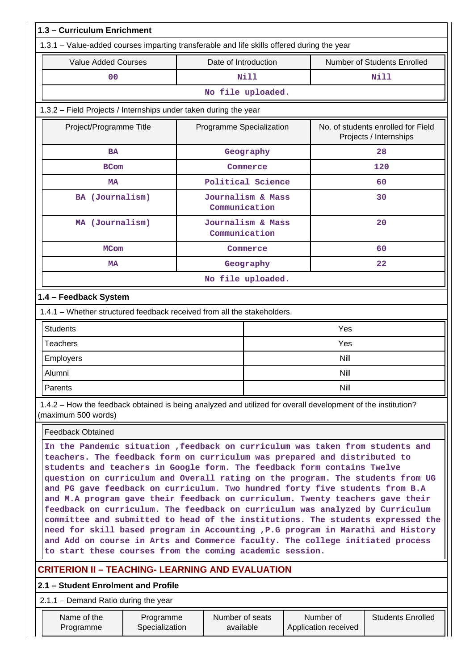| 1.3 - Curriculum Enrichment                                                                                                                                                                                                                                                                                                                                                                                                                                                                                                                                                                                                                                                                                                                                                                                                                                                                   |                             |  |                                    |                                   |                                                              |
|-----------------------------------------------------------------------------------------------------------------------------------------------------------------------------------------------------------------------------------------------------------------------------------------------------------------------------------------------------------------------------------------------------------------------------------------------------------------------------------------------------------------------------------------------------------------------------------------------------------------------------------------------------------------------------------------------------------------------------------------------------------------------------------------------------------------------------------------------------------------------------------------------|-----------------------------|--|------------------------------------|-----------------------------------|--------------------------------------------------------------|
| 1.3.1 – Value-added courses imparting transferable and life skills offered during the year                                                                                                                                                                                                                                                                                                                                                                                                                                                                                                                                                                                                                                                                                                                                                                                                    |                             |  |                                    |                                   |                                                              |
| <b>Value Added Courses</b>                                                                                                                                                                                                                                                                                                                                                                                                                                                                                                                                                                                                                                                                                                                                                                                                                                                                    |                             |  | Date of Introduction               |                                   | Number of Students Enrolled                                  |
| 0 <sub>0</sub>                                                                                                                                                                                                                                                                                                                                                                                                                                                                                                                                                                                                                                                                                                                                                                                                                                                                                |                             |  | <b>Nill</b>                        |                                   | <b>Nill</b>                                                  |
|                                                                                                                                                                                                                                                                                                                                                                                                                                                                                                                                                                                                                                                                                                                                                                                                                                                                                               |                             |  | No file uploaded.                  |                                   |                                                              |
| 1.3.2 - Field Projects / Internships under taken during the year                                                                                                                                                                                                                                                                                                                                                                                                                                                                                                                                                                                                                                                                                                                                                                                                                              |                             |  |                                    |                                   |                                                              |
| Project/Programme Title                                                                                                                                                                                                                                                                                                                                                                                                                                                                                                                                                                                                                                                                                                                                                                                                                                                                       |                             |  | Programme Specialization           |                                   | No. of students enrolled for Field<br>Projects / Internships |
| BA                                                                                                                                                                                                                                                                                                                                                                                                                                                                                                                                                                                                                                                                                                                                                                                                                                                                                            |                             |  | Geography                          |                                   | 28                                                           |
| <b>BCom</b>                                                                                                                                                                                                                                                                                                                                                                                                                                                                                                                                                                                                                                                                                                                                                                                                                                                                                   |                             |  | Commerce                           |                                   | 120                                                          |
| <b>MA</b>                                                                                                                                                                                                                                                                                                                                                                                                                                                                                                                                                                                                                                                                                                                                                                                                                                                                                     |                             |  | Political Science                  |                                   | 60                                                           |
| BA (Journalism)                                                                                                                                                                                                                                                                                                                                                                                                                                                                                                                                                                                                                                                                                                                                                                                                                                                                               |                             |  | Journalism & Mass<br>Communication |                                   | 30                                                           |
| MA (Journalism)                                                                                                                                                                                                                                                                                                                                                                                                                                                                                                                                                                                                                                                                                                                                                                                                                                                                               |                             |  | Journalism & Mass<br>Communication |                                   | 20                                                           |
| <b>MCom</b>                                                                                                                                                                                                                                                                                                                                                                                                                                                                                                                                                                                                                                                                                                                                                                                                                                                                                   |                             |  | Commerce                           |                                   | 60                                                           |
| МA                                                                                                                                                                                                                                                                                                                                                                                                                                                                                                                                                                                                                                                                                                                                                                                                                                                                                            |                             |  | Geography                          |                                   | 22                                                           |
| No file uploaded.                                                                                                                                                                                                                                                                                                                                                                                                                                                                                                                                                                                                                                                                                                                                                                                                                                                                             |                             |  |                                    |                                   |                                                              |
| 1.4 - Feedback System                                                                                                                                                                                                                                                                                                                                                                                                                                                                                                                                                                                                                                                                                                                                                                                                                                                                         |                             |  |                                    |                                   |                                                              |
| 1.4.1 – Whether structured feedback received from all the stakeholders.                                                                                                                                                                                                                                                                                                                                                                                                                                                                                                                                                                                                                                                                                                                                                                                                                       |                             |  |                                    |                                   |                                                              |
| <b>Students</b>                                                                                                                                                                                                                                                                                                                                                                                                                                                                                                                                                                                                                                                                                                                                                                                                                                                                               |                             |  |                                    | Yes                               |                                                              |
| <b>Teachers</b>                                                                                                                                                                                                                                                                                                                                                                                                                                                                                                                                                                                                                                                                                                                                                                                                                                                                               |                             |  |                                    | Yes                               |                                                              |
| Employers                                                                                                                                                                                                                                                                                                                                                                                                                                                                                                                                                                                                                                                                                                                                                                                                                                                                                     |                             |  |                                    | Nill                              |                                                              |
| Alumni                                                                                                                                                                                                                                                                                                                                                                                                                                                                                                                                                                                                                                                                                                                                                                                                                                                                                        |                             |  |                                    | Nill                              |                                                              |
| Parents                                                                                                                                                                                                                                                                                                                                                                                                                                                                                                                                                                                                                                                                                                                                                                                                                                                                                       |                             |  |                                    | <b>Nill</b>                       |                                                              |
| 1.4.2 – How the feedback obtained is being analyzed and utilized for overall development of the institution?<br>(maximum 500 words)                                                                                                                                                                                                                                                                                                                                                                                                                                                                                                                                                                                                                                                                                                                                                           |                             |  |                                    |                                   |                                                              |
| <b>Feedback Obtained</b>                                                                                                                                                                                                                                                                                                                                                                                                                                                                                                                                                                                                                                                                                                                                                                                                                                                                      |                             |  |                                    |                                   |                                                              |
| In the Pandemic situation , feedback on curriculum was taken from students and<br>teachers. The feedback form on curriculum was prepared and distributed to<br>students and teachers in Google form. The feedback form contains Twelve<br>question on curriculum and Overall rating on the program. The students from UG<br>and PG gave feedback on curriculum. Two hundred forty five students from B.A<br>and M.A program gave their feedback on curriculum. Twenty teachers gave their<br>feedback on curriculum. The feedback on curriculum was analyzed by Curriculum<br>committee and submitted to head of the institutions. The students expressed the<br>need for skill based program in Accounting , P.G program in Marathi and History<br>and Add on course in Arts and Commerce faculty. The college initiated process<br>to start these courses from the coming academic session. |                             |  |                                    |                                   |                                                              |
| <b>CRITERION II - TEACHING- LEARNING AND EVALUATION</b>                                                                                                                                                                                                                                                                                                                                                                                                                                                                                                                                                                                                                                                                                                                                                                                                                                       |                             |  |                                    |                                   |                                                              |
| 2.1 - Student Enrolment and Profile                                                                                                                                                                                                                                                                                                                                                                                                                                                                                                                                                                                                                                                                                                                                                                                                                                                           |                             |  |                                    |                                   |                                                              |
| $2.1.1 -$ Demand Ratio during the year                                                                                                                                                                                                                                                                                                                                                                                                                                                                                                                                                                                                                                                                                                                                                                                                                                                        |                             |  |                                    |                                   |                                                              |
| Name of the<br>Programme                                                                                                                                                                                                                                                                                                                                                                                                                                                                                                                                                                                                                                                                                                                                                                                                                                                                      | Programme<br>Specialization |  | Number of seats<br>available       | Number of<br>Application received | <b>Students Enrolled</b>                                     |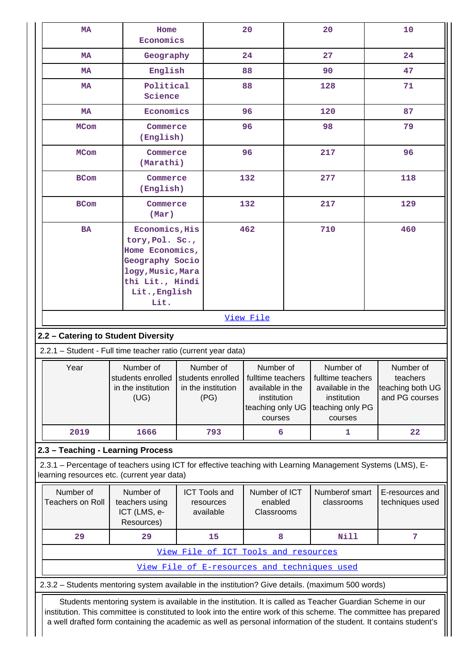| MA                                                                                                                                                                                                                                                                                                                                                                                                            | Home<br>Economics                                                                                                                                                                                                               |  |                                                                                          | 20                                                          |                              | 20                                           |                                    | 10  |
|---------------------------------------------------------------------------------------------------------------------------------------------------------------------------------------------------------------------------------------------------------------------------------------------------------------------------------------------------------------------------------------------------------------|---------------------------------------------------------------------------------------------------------------------------------------------------------------------------------------------------------------------------------|--|------------------------------------------------------------------------------------------|-------------------------------------------------------------|------------------------------|----------------------------------------------|------------------------------------|-----|
| <b>MA</b>                                                                                                                                                                                                                                                                                                                                                                                                     | Geography                                                                                                                                                                                                                       |  |                                                                                          | 24                                                          |                              | 27                                           |                                    | 24  |
| MA                                                                                                                                                                                                                                                                                                                                                                                                            | English                                                                                                                                                                                                                         |  |                                                                                          | 88                                                          |                              | 90                                           |                                    | 47  |
| <b>MA</b>                                                                                                                                                                                                                                                                                                                                                                                                     | Political<br>Science                                                                                                                                                                                                            |  |                                                                                          | 88                                                          |                              | 128                                          |                                    | 71  |
| MA                                                                                                                                                                                                                                                                                                                                                                                                            | Economics                                                                                                                                                                                                                       |  |                                                                                          | 96                                                          |                              | 120                                          |                                    | 87  |
| <b>MCom</b>                                                                                                                                                                                                                                                                                                                                                                                                   | Commerce<br>(English)                                                                                                                                                                                                           |  |                                                                                          | 96                                                          |                              | 98                                           |                                    | 79  |
| <b>MCom</b>                                                                                                                                                                                                                                                                                                                                                                                                   | Commerce<br>(Marathi)                                                                                                                                                                                                           |  |                                                                                          | 96                                                          |                              | 217                                          |                                    | 96  |
| <b>BCom</b>                                                                                                                                                                                                                                                                                                                                                                                                   | Commerce<br>(English)                                                                                                                                                                                                           |  |                                                                                          | 132                                                         |                              | 277                                          |                                    | 118 |
| <b>BCom</b>                                                                                                                                                                                                                                                                                                                                                                                                   | Commerce<br>(Mar)                                                                                                                                                                                                               |  |                                                                                          | 132                                                         |                              | 217                                          |                                    | 129 |
| <b>BA</b>                                                                                                                                                                                                                                                                                                                                                                                                     | Economics, His<br>tory, Pol. Sc.,<br>Home Economics,<br>Geography Socio<br>logy, Music, Mara<br>thi Lit., Hindi<br>Lit., English                                                                                                |  |                                                                                          | 462                                                         |                              | 710                                          |                                    | 460 |
|                                                                                                                                                                                                                                                                                                                                                                                                               | Lit.                                                                                                                                                                                                                            |  |                                                                                          | View File                                                   |                              |                                              |                                    |     |
| 2.2 - Catering to Student Diversity                                                                                                                                                                                                                                                                                                                                                                           |                                                                                                                                                                                                                                 |  |                                                                                          |                                                             |                              |                                              |                                    |     |
|                                                                                                                                                                                                                                                                                                                                                                                                               |                                                                                                                                                                                                                                 |  |                                                                                          |                                                             |                              |                                              |                                    |     |
| 2.2.1 - Student - Full time teacher ratio (current year data)<br>Number of<br>Number of<br>Year<br>Number of<br>Number of<br>students enrolled<br>students enrolled<br>fulltime teachers<br>fulltime teachers<br>in the institution<br>in the institution<br>available in the<br>available in the<br>(UG)<br>(PG)<br>institution<br>institution<br>teaching only UG<br>teaching only PG<br>courses<br>courses |                                                                                                                                                                                                                                 |  |                                                                                          | Number of<br>teachers<br>teaching both UG<br>and PG courses |                              |                                              |                                    |     |
| 2019                                                                                                                                                                                                                                                                                                                                                                                                          | 1666                                                                                                                                                                                                                            |  | 793                                                                                      | 6                                                           |                              | 1                                            |                                    | 22  |
| 2.3 - Teaching - Learning Process                                                                                                                                                                                                                                                                                                                                                                             |                                                                                                                                                                                                                                 |  |                                                                                          |                                                             |                              |                                              |                                    |     |
| 2.3.1 - Percentage of teachers using ICT for effective teaching with Learning Management Systems (LMS), E-<br>learning resources etc. (current year data)                                                                                                                                                                                                                                                     |                                                                                                                                                                                                                                 |  |                                                                                          |                                                             |                              |                                              |                                    |     |
| Number of<br><b>Teachers on Roll</b>                                                                                                                                                                                                                                                                                                                                                                          | Number of<br>teachers using<br>ICT (LMS, e-<br>Resources)                                                                                                                                                                       |  | Number of ICT<br><b>ICT Tools and</b><br>enabled<br>resources<br>available<br>Classrooms |                                                             | Numberof smart<br>classrooms |                                              | E-resources and<br>techniques used |     |
| 29                                                                                                                                                                                                                                                                                                                                                                                                            | 29                                                                                                                                                                                                                              |  | 15                                                                                       | 8                                                           |                              | <b>Nill</b>                                  |                                    | 7   |
|                                                                                                                                                                                                                                                                                                                                                                                                               |                                                                                                                                                                                                                                 |  |                                                                                          | View File of ICT Tools and resources                        |                              |                                              |                                    |     |
|                                                                                                                                                                                                                                                                                                                                                                                                               |                                                                                                                                                                                                                                 |  |                                                                                          |                                                             |                              | View File of E-resources and techniques used |                                    |     |
| 2.3.2 - Students mentoring system available in the institution? Give details. (maximum 500 words)                                                                                                                                                                                                                                                                                                             |                                                                                                                                                                                                                                 |  |                                                                                          |                                                             |                              |                                              |                                    |     |
|                                                                                                                                                                                                                                                                                                                                                                                                               | Students mentoring system is available in the institution. It is called as Teacher Guardian Scheme in our<br>institution. This committee is constituted to look into the entire work of this scheme. The committee has prepared |  |                                                                                          |                                                             |                              |                                              |                                    |     |

a well drafted form containing the academic as well as personal information of the student. It contains student's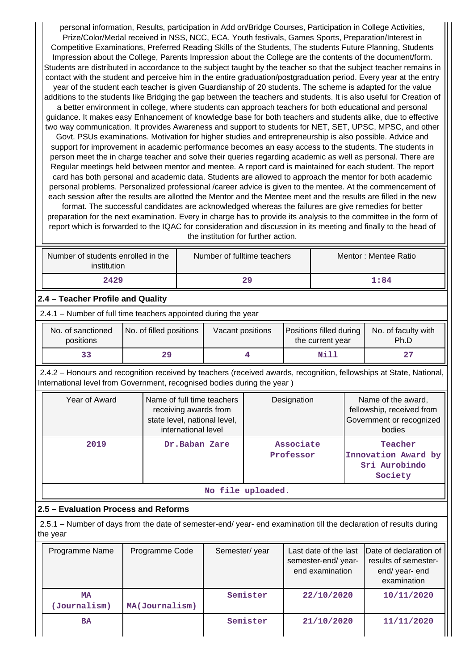personal information, Results, participation in Add on/Bridge Courses, Participation in College Activities, Prize/Color/Medal received in NSS, NCC, ECA, Youth festivals, Games Sports, Preparation/Interest in Competitive Examinations, Preferred Reading Skills of the Students, The students Future Planning, Students Impression about the College, Parents Impression about the College are the contents of the document/form. Students are distributed in accordance to the subject taught by the teacher so that the subject teacher remains in contact with the student and perceive him in the entire graduation/postgraduation period. Every year at the entry year of the student each teacher is given Guardianship of 20 students. The scheme is adapted for the value additions to the students like Bridging the gap between the teachers and students. It is also useful for Creation of a better environment in college, where students can approach teachers for both educational and personal guidance. It makes easy Enhancement of knowledge base for both teachers and students alike, due to effective two way communication. It provides Awareness and support to students for NET, SET, UPSC, MPSC, and other Govt. PSUs examinations. Motivation for higher studies and entrepreneurship is also possible. Advice and support for improvement in academic performance becomes an easy access to the students. The students in person meet the in charge teacher and solve their queries regarding academic as well as personal. There are Regular meetings held between mentor and mentee. A report card is maintained for each student. The report card has both personal and academic data. Students are allowed to approach the mentor for both academic personal problems. Personalized professional /career advice is given to the mentee. At the commencement of

each session after the results are allotted the Mentor and the Mentee meet and the results are filled in the new format. The successful candidates are acknowledged whereas the failures are give remedies for better preparation for the next examination. Every in charge has to provide its analysis to the committee in the form of report which is forwarded to the IQAC for consideration and discussion in its meeting and finally to the head of the institution for further action.

| Number of students enrolled in the<br>institution | Number of fulltime teachers | Mentor: Mentee Ratio |
|---------------------------------------------------|-----------------------------|----------------------|
| 2429                                              | 29                          | 1:84                 |

# **2.4 – Teacher Profile and Quality**

2.4.1 – Number of full time teachers appointed during the year

| No. of sanctioned<br>positions | No. of filled positions | Vacant positions | <b>Positions filled during</b><br>the current year | No. of faculty with<br>Ph.D |
|--------------------------------|-------------------------|------------------|----------------------------------------------------|-----------------------------|
| 33                             | 29                      |                  | Nill                                               | 27                          |

 2.4.2 – Honours and recognition received by teachers (received awards, recognition, fellowships at State, National, International level from Government, recognised bodies during the year )

| Year of Award     | Name of full time teachers<br>receiving awards from<br>state level, national level,<br>international level | Designation            | Name of the award,<br>fellowship, received from<br>Government or recognized<br>bodies |  |  |  |
|-------------------|------------------------------------------------------------------------------------------------------------|------------------------|---------------------------------------------------------------------------------------|--|--|--|
| 2019              | Dr.Baban Zare                                                                                              | Associate<br>Professor | Teacher<br>Innovation Award by<br>Sri Aurobindo<br>Society                            |  |  |  |
| No file uploaded. |                                                                                                            |                        |                                                                                       |  |  |  |

# **2.5 – Evaluation Process and Reforms**

 2.5.1 – Number of days from the date of semester-end/ year- end examination till the declaration of results during the year

| Programme Name            | Programme Code | Semester/year | Last date of the last<br>semester-end/year-<br>end examination | Date of declaration of<br>results of semester-<br>end/year-end<br>examination |
|---------------------------|----------------|---------------|----------------------------------------------------------------|-------------------------------------------------------------------------------|
| <b>MA</b><br>(Journalism) | MA(Journalism) | Semister      | 22/10/2020                                                     | 10/11/2020                                                                    |
| <b>BA</b>                 |                | Semister      | 21/10/2020                                                     | 11/11/2020                                                                    |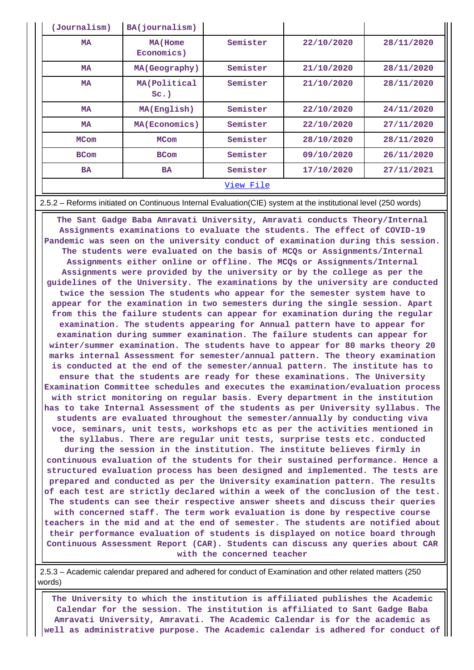| (Journalism) | BA(journalism)           |          |            |            |  |
|--------------|--------------------------|----------|------------|------------|--|
| <b>MA</b>    | MA (Home<br>Economics)   | Semister | 22/10/2020 | 28/11/2020 |  |
| <b>MA</b>    | MA(Geography)            | Semister | 21/10/2020 | 28/11/2020 |  |
| <b>MA</b>    | MA (Political<br>$Sc.$ ) | Semister | 21/10/2020 | 28/11/2020 |  |
| <b>MA</b>    | MA(English)              | Semister | 22/10/2020 | 24/11/2020 |  |
| <b>MA</b>    | MA(Economics)            | Semister | 22/10/2020 | 27/11/2020 |  |
| <b>MCom</b>  | <b>MCom</b>              | Semister | 28/10/2020 | 28/11/2020 |  |
| <b>BCom</b>  | <b>BCom</b>              | Semister | 09/10/2020 | 26/11/2020 |  |
| <b>BA</b>    | <b>BA</b>                | Semister | 17/10/2020 | 27/11/2021 |  |
| View File    |                          |          |            |            |  |

#### 2.5.2 – Reforms initiated on Continuous Internal Evaluation(CIE) system at the institutional level (250 words)

 **The Sant Gadge Baba Amravati University, Amravati conducts Theory/Internal Assignments examinations to evaluate the students. The effect of COVID-19 Pandemic was seen on the university conduct of examination during this session. The students were evaluated on the basis of MCQs or Assignments/Internal Assignments either online or offline. The MCQs or Assignments/Internal Assignments were provided by the university or by the college as per the guidelines of the University. The examinations by the university are conducted twice the session The students who appear for the semester system have to appear for the examination in two semesters during the single session. Apart from this the failure students can appear for examination during the regular examination. The students appearing for Annual pattern have to appear for examination during summer examination. The failure students can appear for winter/summer examination. The students have to appear for 80 marks theory 20 marks internal Assessment for semester/annual pattern. The theory examination is conducted at the end of the semester/annual pattern. The institute has to ensure that the students are ready for these examinations. The University Examination Committee schedules and executes the examination/evaluation process with strict monitoring on regular basis. Every department in the institution has to take Internal Assessment of the students as per University syllabus. The students are evaluated throughout the semester/annually by conducting viva voce, seminars, unit tests, workshops etc as per the activities mentioned in the syllabus. There are regular unit tests, surprise tests etc. conducted during the session in the institution. The institute believes firmly in continuous evaluation of the students for their sustained performance. Hence a structured evaluation process has been designed and implemented. The tests are prepared and conducted as per the University examination pattern. The results of each test are strictly declared within a week of the conclusion of the test. The students can see their respective answer sheets and discuss their queries with concerned staff. The term work evaluation is done by respective course teachers in the mid and at the end of semester. The students are notified about their performance evaluation of students is displayed on notice board through Continuous Assessment Report (CAR). Students can discuss any queries about CAR with the concerned teacher**

 2.5.3 – Academic calendar prepared and adhered for conduct of Examination and other related matters (250 words)

 **The University to which the institution is affiliated publishes the Academic Calendar for the session. The institution is affiliated to Sant Gadge Baba Amravati University, Amravati. The Academic Calendar is for the academic as well as administrative purpose. The Academic calendar is adhered for conduct of**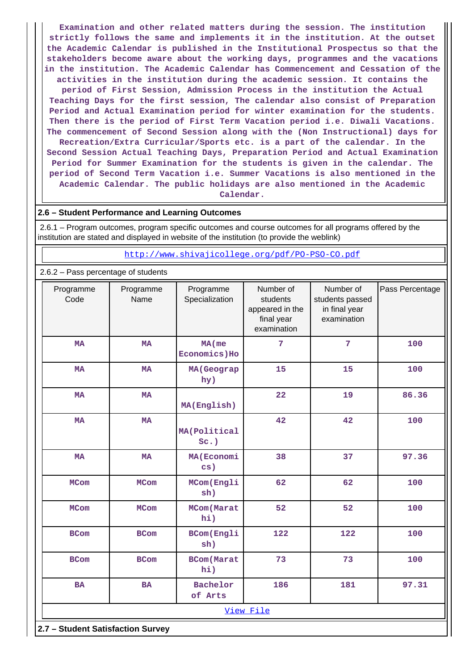**Examination and other related matters during the session. The institution strictly follows the same and implements it in the institution. At the outset the Academic Calendar is published in the Institutional Prospectus so that the stakeholders become aware about the working days, programmes and the vacations in the institution. The Academic Calendar has Commencement and Cessation of the activities in the institution during the academic session. It contains the period of First Session, Admission Process in the institution the Actual Teaching Days for the first session, The calendar also consist of Preparation Period and Actual Examination period for winter examination for the students. Then there is the period of First Term Vacation period i.e. Diwali Vacations. The commencement of Second Session along with the (Non Instructional) days for Recreation/Extra Curricular/Sports etc. is a part of the calendar. In the Second Session Actual Teaching Days, Preparation Period and Actual Examination Period for Summer Examination for the students is given in the calendar. The period of Second Term Vacation i.e. Summer Vacations is also mentioned in the Academic Calendar. The public holidays are also mentioned in the Academic Calendar.**

#### **2.6 – Student Performance and Learning Outcomes**

 2.6.1 – Program outcomes, program specific outcomes and course outcomes for all programs offered by the institution are stated and displayed in website of the institution (to provide the weblink)

<http://www.shivajicollege.org/pdf/PO-PSO-CO.pdf>

#### 2.6.2 – Pass percentage of students

| Programme<br>Code                 | Programme<br>Name | Programme<br>Specialization | Number of<br>students<br>appeared in the<br>final year<br>examination | Number of<br>students passed<br>in final year<br>examination | Pass Percentage |  |  |  |
|-----------------------------------|-------------------|-----------------------------|-----------------------------------------------------------------------|--------------------------------------------------------------|-----------------|--|--|--|
| <b>MA</b>                         | <b>MA</b>         | $MA$ (me<br>Economics) Ho   | 7                                                                     | 7                                                            | 100             |  |  |  |
| <b>MA</b>                         | <b>MA</b>         | MA (Geograp<br>hy)          | 15                                                                    | 15                                                           | 100             |  |  |  |
| <b>MA</b>                         | <b>MA</b>         | MA(English)                 | 22                                                                    | 19                                                           | 86.36           |  |  |  |
| <b>MA</b>                         | <b>MA</b>         | MA(Political<br>$Sc.$ )     | 42                                                                    | 42                                                           | 100             |  |  |  |
| <b>MA</b>                         | <b>MA</b>         | MA (Economi<br>cs)          | 38                                                                    | 37                                                           | 97.36           |  |  |  |
| <b>MCom</b>                       | <b>MCom</b>       | MCom (Engli<br>sh)          | 62                                                                    | 62                                                           | 100             |  |  |  |
| <b>MCom</b>                       | <b>MCom</b>       | MCom (Marat<br>hi)          | 52                                                                    | 52                                                           | 100             |  |  |  |
| <b>BCom</b>                       | <b>BCom</b>       | <b>BCom(Engli</b><br>sh)    | 122                                                                   | 122                                                          | 100             |  |  |  |
| <b>BCom</b>                       | <b>BCom</b>       | <b>BCom</b> (Marat<br>hi)   | 73                                                                    | 73                                                           | 100             |  |  |  |
| <b>BA</b>                         | <b>BA</b>         | Bachelor<br>of Arts         | 186                                                                   | 181                                                          | 97.31           |  |  |  |
|                                   | View File         |                             |                                                                       |                                                              |                 |  |  |  |
| 2.7 - Student Satisfaction Survey |                   |                             |                                                                       |                                                              |                 |  |  |  |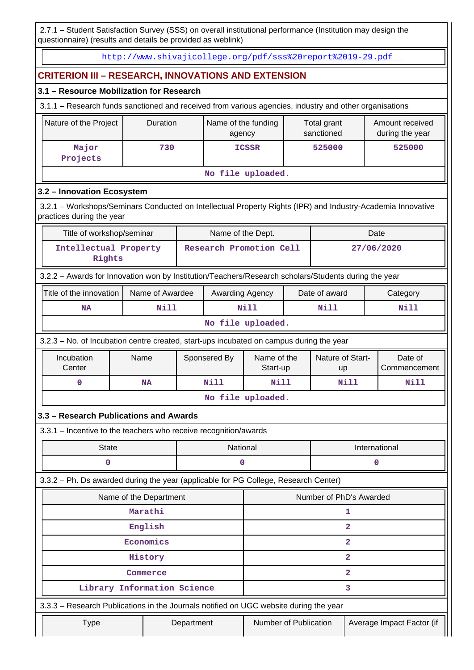2.7.1 – Student Satisfaction Survey (SSS) on overall institutional performance (Institution may design the questionnaire) (results and details be provided as weblink)

<http://www.shivajicollege.org/pdf/sss%20report%2019-29.pdf>

# **CRITERION III – RESEARCH, INNOVATIONS AND EXTENSION**

# **3.1 – Resource Mobilization for Research**

3.1.1 – Research funds sanctioned and received from various agencies, industry and other organisations

| Nature of the Project | Duration | Name of the funding<br>agency | Total grant<br>sanctioned | Amount received<br>during the year |  |
|-----------------------|----------|-------------------------------|---------------------------|------------------------------------|--|
| Major<br>Projects     | 730      | <b>ICSSR</b>                  | 525000                    | 525000                             |  |
| No file uploaded.     |          |                               |                           |                                    |  |

# **3.2 – Innovation Ecosystem**

 3.2.1 – Workshops/Seminars Conducted on Intellectual Property Rights (IPR) and Industry-Academia Innovative practices during the year

| Title of workshop/seminar       | Name of the Dept.       | Date       |
|---------------------------------|-------------------------|------------|
| Intellectual Property<br>Rights | Research Promotion Cell | 27/06/2020 |

3.2.2 – Awards for Innovation won by Institution/Teachers/Research scholars/Students during the year

| Title of the innovation                                                                | Name of Awardee | <b>Awarding Agency</b> | Date of award | Category |  |  |
|----------------------------------------------------------------------------------------|-----------------|------------------------|---------------|----------|--|--|
| NA                                                                                     | Nill            | Nill                   | Nill          | Nill     |  |  |
| No file uploaded.                                                                      |                 |                        |               |          |  |  |
| $323 - N_0$ of Incubation centre created start-uns incubated on campus during the vear |                 |                        |               |          |  |  |

tion centre created, start-ups incubated on campus during the year

| Incubation<br>Center | Name      | Sponsered By | Name of the<br>Start-up | Nature of Start-<br><b>up</b> | Date of<br>Commencement |  |
|----------------------|-----------|--------------|-------------------------|-------------------------------|-------------------------|--|
|                      | <b>NA</b> | Nill         | Nill                    | Nill                          | Nill                    |  |
| No file uploaded.    |           |              |                         |                               |                         |  |

## **3.3 – Research Publications and Awards**

3.3.1 – Incentive to the teachers who receive recognition/awards

| State | National | International |
|-------|----------|---------------|
|       |          |               |

3.3.2 – Ph. Ds awarded during the year (applicable for PG College, Research Center)

| Name of the Department                                                                |                             | Number of PhD's Awarded |                           |  |
|---------------------------------------------------------------------------------------|-----------------------------|-------------------------|---------------------------|--|
|                                                                                       | Marathi                     |                         |                           |  |
|                                                                                       | English                     | 2                       |                           |  |
|                                                                                       | Economics                   | 2                       |                           |  |
|                                                                                       | History                     | 2                       |                           |  |
|                                                                                       | Commerce                    | 2                       |                           |  |
|                                                                                       | Library Information Science | 3                       |                           |  |
| 3.3.3 - Research Publications in the Journals notified on UGC website during the year |                             |                         |                           |  |
| Type                                                                                  | Department                  | Number of Publication   | Average Impact Factor (if |  |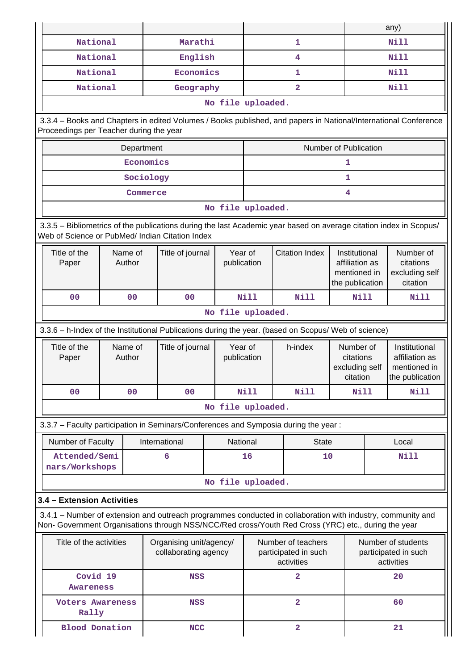|                                                                                                                                                                                                                    |                                                                                                                                                                       |                   |                  |                                                          |             |                         |                                                                    |      | any)                                                               |
|--------------------------------------------------------------------------------------------------------------------------------------------------------------------------------------------------------------------|-----------------------------------------------------------------------------------------------------------------------------------------------------------------------|-------------------|------------------|----------------------------------------------------------|-------------|-------------------------|--------------------------------------------------------------------|------|--------------------------------------------------------------------|
| National                                                                                                                                                                                                           |                                                                                                                                                                       |                   | Marathi          |                                                          |             | $\mathbf{1}$            |                                                                    | Nill |                                                                    |
| National                                                                                                                                                                                                           |                                                                                                                                                                       |                   | English          |                                                          |             | 4                       |                                                                    |      | <b>Nill</b>                                                        |
| National                                                                                                                                                                                                           |                                                                                                                                                                       |                   | Economics        |                                                          |             | 1                       |                                                                    |      | <b>Nill</b>                                                        |
| National                                                                                                                                                                                                           |                                                                                                                                                                       |                   | Geography        |                                                          |             | $\overline{a}$          |                                                                    |      | <b>Nill</b>                                                        |
|                                                                                                                                                                                                                    |                                                                                                                                                                       |                   |                  | No file uploaded.                                        |             |                         |                                                                    |      |                                                                    |
|                                                                                                                                                                                                                    | 3.3.4 - Books and Chapters in edited Volumes / Books published, and papers in National/International Conference<br>Proceedings per Teacher during the year            |                   |                  |                                                          |             |                         |                                                                    |      |                                                                    |
|                                                                                                                                                                                                                    |                                                                                                                                                                       | Department        |                  |                                                          |             |                         | Number of Publication                                              |      |                                                                    |
|                                                                                                                                                                                                                    | Economics<br>1                                                                                                                                                        |                   |                  |                                                          |             |                         |                                                                    |      |                                                                    |
| Sociology<br>1                                                                                                                                                                                                     |                                                                                                                                                                       |                   |                  |                                                          |             |                         |                                                                    |      |                                                                    |
|                                                                                                                                                                                                                    |                                                                                                                                                                       | Commerce          |                  |                                                          |             |                         | 4                                                                  |      |                                                                    |
|                                                                                                                                                                                                                    |                                                                                                                                                                       |                   |                  | No file uploaded.                                        |             |                         |                                                                    |      |                                                                    |
|                                                                                                                                                                                                                    | 3.3.5 - Bibliometrics of the publications during the last Academic year based on average citation index in Scopus/<br>Web of Science or PubMed/ Indian Citation Index |                   |                  |                                                          |             |                         |                                                                    |      |                                                                    |
| Title of the<br>Paper                                                                                                                                                                                              |                                                                                                                                                                       | Name of<br>Author | Title of journal | Year of<br>publication                                   |             | <b>Citation Index</b>   | Institutional<br>affiliation as<br>mentioned in<br>the publication |      | Number of<br>citations<br>excluding self<br>citation               |
| 0 <sub>0</sub>                                                                                                                                                                                                     |                                                                                                                                                                       | 0 <sub>0</sub>    | 0 <sub>0</sub>   |                                                          | <b>Nill</b> | <b>Nill</b>             | Nill                                                               |      | Nill                                                               |
| No file uploaded.                                                                                                                                                                                                  |                                                                                                                                                                       |                   |                  |                                                          |             |                         |                                                                    |      |                                                                    |
| 3.3.6 - h-Index of the Institutional Publications during the year. (based on Scopus/ Web of science)                                                                                                               |                                                                                                                                                                       |                   |                  |                                                          |             |                         |                                                                    |      |                                                                    |
| Title of the<br>Paper                                                                                                                                                                                              | Name of<br>Author                                                                                                                                                     |                   | Title of journal | Year of<br>publication                                   |             | h-index                 | Number of<br>citations<br>excluding self<br>citation               |      | Institutional<br>affiliation as<br>mentioned in<br>the publication |
| 0 <sub>0</sub>                                                                                                                                                                                                     |                                                                                                                                                                       | 0 <sub>0</sub>    | 0 <sub>0</sub>   |                                                          | Nill        | Nill                    | Nill                                                               |      | <b>Nill</b>                                                        |
|                                                                                                                                                                                                                    |                                                                                                                                                                       |                   |                  | No file uploaded.                                        |             |                         |                                                                    |      |                                                                    |
| 3.3.7 - Faculty participation in Seminars/Conferences and Symposia during the year:                                                                                                                                |                                                                                                                                                                       |                   |                  |                                                          |             |                         |                                                                    |      |                                                                    |
| Number of Faculty                                                                                                                                                                                                  |                                                                                                                                                                       |                   | International    | National                                                 |             | <b>State</b>            |                                                                    |      | Local                                                              |
| Attended/Semi<br>nars/Workshops                                                                                                                                                                                    |                                                                                                                                                                       |                   | 6                |                                                          | 16          | 10                      |                                                                    |      | Nill                                                               |
|                                                                                                                                                                                                                    |                                                                                                                                                                       |                   |                  | No file uploaded.                                        |             |                         |                                                                    |      |                                                                    |
| 3.4 - Extension Activities                                                                                                                                                                                         |                                                                                                                                                                       |                   |                  |                                                          |             |                         |                                                                    |      |                                                                    |
| 3.4.1 – Number of extension and outreach programmes conducted in collaboration with industry, community and<br>Non- Government Organisations through NSS/NCC/Red cross/Youth Red Cross (YRC) etc., during the year |                                                                                                                                                                       |                   |                  |                                                          |             |                         |                                                                    |      |                                                                    |
| Title of the activities<br>Number of teachers<br>Organising unit/agency/<br>collaborating agency<br>participated in such<br>activities                                                                             |                                                                                                                                                                       |                   |                  | Number of students<br>participated in such<br>activities |             |                         |                                                                    |      |                                                                    |
| Covid 19<br>Awareness                                                                                                                                                                                              |                                                                                                                                                                       |                   | <b>NSS</b>       |                                                          |             | $\overline{a}$          |                                                                    |      | 20                                                                 |
| <b>Voters Awareness</b><br>Rally                                                                                                                                                                                   |                                                                                                                                                                       |                   | <b>NSS</b>       |                                                          |             | $\overline{a}$          |                                                                    |      | 60                                                                 |
| <b>Blood Donation</b>                                                                                                                                                                                              |                                                                                                                                                                       |                   | <b>NCC</b>       |                                                          |             | $\overline{\mathbf{2}}$ |                                                                    |      | 21                                                                 |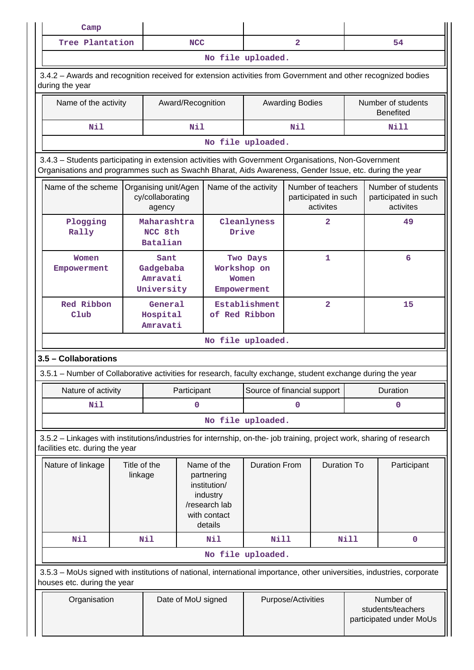| Camp              |            |  |    |  |  |
|-------------------|------------|--|----|--|--|
| Tree Plantation   | <b>NCC</b> |  | 54 |  |  |
| No file uploaded. |            |  |    |  |  |

 3.4.2 – Awards and recognition received for extension activities from Government and other recognized bodies during the year

| Name of the activity | Award/Recognition | <b>Awarding Bodies</b> | Number of students<br><b>Benefited</b> |  |  |
|----------------------|-------------------|------------------------|----------------------------------------|--|--|
| Nil                  | Nill              |                        |                                        |  |  |
| No file uploaded.    |                   |                        |                                        |  |  |

 3.4.3 – Students participating in extension activities with Government Organisations, Non-Government Organisations and programmes such as Swachh Bharat, Aids Awareness, Gender Issue, etc. during the year

| Name of the scheme          | Organising unit/Agen<br>cy/collaborating<br>agency | Name of the activity                            | Number of teachers<br>participated in such<br>activites | Number of students<br>participated in such<br>activites |  |  |
|-----------------------------|----------------------------------------------------|-------------------------------------------------|---------------------------------------------------------|---------------------------------------------------------|--|--|
| Plogging<br>Rally           | Maharashtra<br>NCC 8th<br>Batalian                 | Cleanlyness<br>Drive                            | $\overline{2}$                                          | 49                                                      |  |  |
| Women<br>Empowerment        | Sant<br>Gadgebaba<br>Amravati<br>University        | Two Days<br>Workshop on<br>Women<br>Empowerment |                                                         | 6                                                       |  |  |
| Red Ribbon<br>$_{\rm Club}$ | General<br>Hospital<br>Amravati                    | Establishment<br>of Red Ribbon                  | $\overline{a}$                                          | 15                                                      |  |  |
| No file uploaded.           |                                                    |                                                 |                                                         |                                                         |  |  |

# **3.5 – Collaborations**

3.5.1 – Number of Collaborative activities for research, faculty exchange, student exchange during the year

| Nature of activity | Participant | Source of financial support | <b>Duration</b> |  |  |  |  |
|--------------------|-------------|-----------------------------|-----------------|--|--|--|--|
| Nil                |             |                             |                 |  |  |  |  |
| No file uploaded.  |             |                             |                 |  |  |  |  |

 3.5.2 – Linkages with institutions/industries for internship, on-the- job training, project work, sharing of research facilities etc. during the year

| Nature of linkage                                                                                                                                     | Title of the<br>linkage |                    | Name of the<br>partnering<br>institution/<br>industry<br>/research lab<br>with contact<br>details | <b>Duration From</b> | Duration To                    |      | Participant |  |
|-------------------------------------------------------------------------------------------------------------------------------------------------------|-------------------------|--------------------|---------------------------------------------------------------------------------------------------|----------------------|--------------------------------|------|-------------|--|
| Nil                                                                                                                                                   | Nil                     |                    | Nil                                                                                               | Nill                 |                                | Nill | O           |  |
| No file uploaded.                                                                                                                                     |                         |                    |                                                                                                   |                      |                                |      |             |  |
| 3.5.3 – MoUs signed with institutions of national, international importance, other universities, industries, corporate<br>houses etc. during the year |                         |                    |                                                                                                   |                      |                                |      |             |  |
| Date of MoU signed<br>Organisation                                                                                                                    |                         | Purpose/Activities |                                                                                                   |                      | Number of<br>students/teachers |      |             |  |

participated under MoUs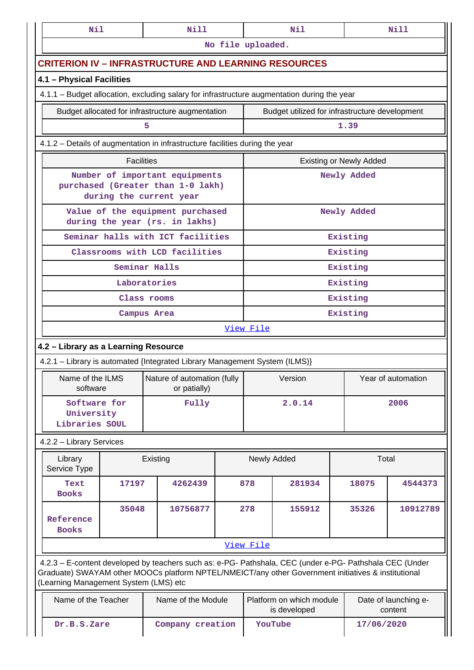| Nil                                                                                         |                   | <b>Nill</b> |                                                                     |                   |                                                                             | Nil                                                                                                                                                                                                            |                                | Nill               |  |  |
|---------------------------------------------------------------------------------------------|-------------------|-------------|---------------------------------------------------------------------|-------------------|-----------------------------------------------------------------------------|----------------------------------------------------------------------------------------------------------------------------------------------------------------------------------------------------------------|--------------------------------|--------------------|--|--|
|                                                                                             |                   |             |                                                                     | No file uploaded. |                                                                             |                                                                                                                                                                                                                |                                |                    |  |  |
| <b>CRITERION IV - INFRASTRUCTURE AND LEARNING RESOURCES</b>                                 |                   |             |                                                                     |                   |                                                                             |                                                                                                                                                                                                                |                                |                    |  |  |
| 4.1 - Physical Facilities                                                                   |                   |             |                                                                     |                   |                                                                             |                                                                                                                                                                                                                |                                |                    |  |  |
| 4.1.1 - Budget allocation, excluding salary for infrastructure augmentation during the year |                   |             |                                                                     |                   |                                                                             |                                                                                                                                                                                                                |                                |                    |  |  |
|                                                                                             |                   |             | Budget allocated for infrastructure augmentation                    |                   |                                                                             | Budget utilized for infrastructure development                                                                                                                                                                 |                                |                    |  |  |
|                                                                                             |                   | 5           |                                                                     |                   |                                                                             |                                                                                                                                                                                                                | 1.39                           |                    |  |  |
| 4.1.2 – Details of augmentation in infrastructure facilities during the year                |                   |             |                                                                     |                   |                                                                             |                                                                                                                                                                                                                |                                |                    |  |  |
|                                                                                             | <b>Facilities</b> |             |                                                                     |                   |                                                                             |                                                                                                                                                                                                                | <b>Existing or Newly Added</b> |                    |  |  |
|                                                                                             |                   |             | Number of important equipments<br>purchased (Greater than 1-0 lakh) |                   |                                                                             |                                                                                                                                                                                                                | Newly Added                    |                    |  |  |
|                                                                                             |                   |             | during the current year                                             |                   |                                                                             |                                                                                                                                                                                                                |                                |                    |  |  |
|                                                                                             |                   |             | Value of the equipment purchased<br>during the year (rs. in lakhs)  |                   |                                                                             |                                                                                                                                                                                                                | Newly Added                    |                    |  |  |
|                                                                                             |                   |             | Seminar halls with ICT facilities                                   |                   |                                                                             |                                                                                                                                                                                                                | Existing                       |                    |  |  |
|                                                                                             |                   |             | Classrooms with LCD facilities                                      |                   |                                                                             |                                                                                                                                                                                                                | Existing                       |                    |  |  |
|                                                                                             | Seminar Halls     |             |                                                                     |                   |                                                                             |                                                                                                                                                                                                                | Existing                       |                    |  |  |
|                                                                                             | Laboratories      |             |                                                                     |                   |                                                                             |                                                                                                                                                                                                                | Existing                       |                    |  |  |
|                                                                                             | Class rooms       |             |                                                                     |                   | Existing                                                                    |                                                                                                                                                                                                                |                                |                    |  |  |
|                                                                                             | Campus Area       |             |                                                                     |                   | Existing                                                                    |                                                                                                                                                                                                                |                                |                    |  |  |
|                                                                                             |                   |             |                                                                     |                   | View File                                                                   |                                                                                                                                                                                                                |                                |                    |  |  |
| 4.2 - Library as a Learning Resource                                                        |                   |             |                                                                     |                   |                                                                             |                                                                                                                                                                                                                |                                |                    |  |  |
| 4.2.1 - Library is automated {Integrated Library Management System (ILMS)}                  |                   |             |                                                                     |                   |                                                                             |                                                                                                                                                                                                                |                                |                    |  |  |
| software                                                                                    |                   |             | Name of the ILMS   Nature of automation (fully<br>or patially)      |                   |                                                                             | Version                                                                                                                                                                                                        |                                | Year of automation |  |  |
| Software for<br>University<br>Libraries SOUL                                                |                   |             | Fully                                                               |                   | 2.0.14<br>2006                                                              |                                                                                                                                                                                                                |                                |                    |  |  |
| 4.2.2 - Library Services                                                                    |                   |             |                                                                     |                   |                                                                             |                                                                                                                                                                                                                |                                |                    |  |  |
| Library<br>Service Type                                                                     |                   | Existing    |                                                                     |                   |                                                                             | Newly Added                                                                                                                                                                                                    |                                | Total              |  |  |
| Text<br><b>Books</b>                                                                        | 17197             |             | 4262439                                                             |                   | 878                                                                         | 281934                                                                                                                                                                                                         | 18075                          | 4544373            |  |  |
| Reference<br><b>Books</b>                                                                   | 35048             |             | 10756877                                                            |                   | 278                                                                         | 155912                                                                                                                                                                                                         | 35326                          | 10912789           |  |  |
|                                                                                             |                   |             |                                                                     |                   | View File                                                                   |                                                                                                                                                                                                                |                                |                    |  |  |
| (Learning Management System (LMS) etc                                                       |                   |             |                                                                     |                   |                                                                             | 4.2.3 - E-content developed by teachers such as: e-PG- Pathshala, CEC (under e-PG- Pathshala CEC (Under<br>Graduate) SWAYAM other MOOCs platform NPTEL/NMEICT/any other Government initiatives & institutional |                                |                    |  |  |
| Name of the Teacher                                                                         |                   |             | Name of the Module                                                  |                   | Platform on which module<br>Date of launching e-<br>is developed<br>content |                                                                                                                                                                                                                |                                |                    |  |  |
| Dr.B.S.Zare<br>Company creation                                                             |                   |             | YouTube<br>17/06/2020                                               |                   |                                                                             |                                                                                                                                                                                                                |                                |                    |  |  |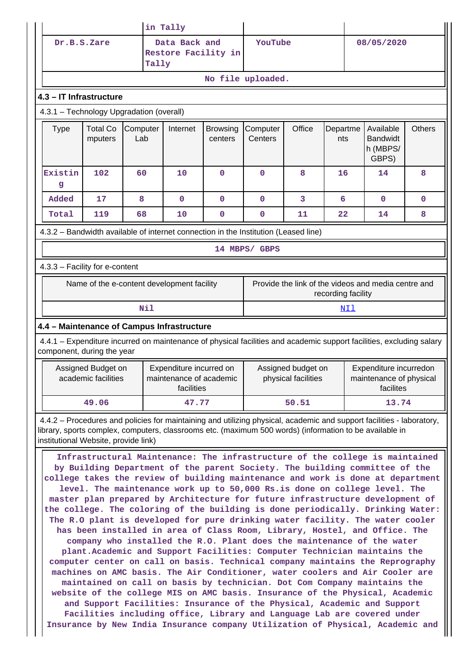|                                                                                                                                                                                                                                                                                                                                                                                                                                                                                                                                                                                                                                                                                                                                                                                                                                                                                                                                                                                                                                                                                                                                                                                                                                                                                                                                                                                            |                                                              |                                            | in Tally                                                         |                            |                                                                                                                       |        |                    |                                                     |               |  |  |
|--------------------------------------------------------------------------------------------------------------------------------------------------------------------------------------------------------------------------------------------------------------------------------------------------------------------------------------------------------------------------------------------------------------------------------------------------------------------------------------------------------------------------------------------------------------------------------------------------------------------------------------------------------------------------------------------------------------------------------------------------------------------------------------------------------------------------------------------------------------------------------------------------------------------------------------------------------------------------------------------------------------------------------------------------------------------------------------------------------------------------------------------------------------------------------------------------------------------------------------------------------------------------------------------------------------------------------------------------------------------------------------------|--------------------------------------------------------------|--------------------------------------------|------------------------------------------------------------------|----------------------------|-----------------------------------------------------------------------------------------------------------------------|--------|--------------------|-----------------------------------------------------|---------------|--|--|
|                                                                                                                                                                                                                                                                                                                                                                                                                                                                                                                                                                                                                                                                                                                                                                                                                                                                                                                                                                                                                                                                                                                                                                                                                                                                                                                                                                                            | Data Back and<br>Dr.B.S.Zare<br>Restore Facility in<br>Tally |                                            |                                                                  |                            | YouTube<br>08/05/2020                                                                                                 |        |                    |                                                     |               |  |  |
| No file uploaded.                                                                                                                                                                                                                                                                                                                                                                                                                                                                                                                                                                                                                                                                                                                                                                                                                                                                                                                                                                                                                                                                                                                                                                                                                                                                                                                                                                          |                                                              |                                            |                                                                  |                            |                                                                                                                       |        |                    |                                                     |               |  |  |
| 4.3 - IT Infrastructure                                                                                                                                                                                                                                                                                                                                                                                                                                                                                                                                                                                                                                                                                                                                                                                                                                                                                                                                                                                                                                                                                                                                                                                                                                                                                                                                                                    |                                                              |                                            |                                                                  |                            |                                                                                                                       |        |                    |                                                     |               |  |  |
| 4.3.1 - Technology Upgradation (overall)                                                                                                                                                                                                                                                                                                                                                                                                                                                                                                                                                                                                                                                                                                                                                                                                                                                                                                                                                                                                                                                                                                                                                                                                                                                                                                                                                   |                                                              |                                            |                                                                  |                            |                                                                                                                       |        |                    |                                                     |               |  |  |
| <b>Type</b>                                                                                                                                                                                                                                                                                                                                                                                                                                                                                                                                                                                                                                                                                                                                                                                                                                                                                                                                                                                                                                                                                                                                                                                                                                                                                                                                                                                | <b>Total Co</b><br>mputers                                   | Computer<br>Lab                            | Internet                                                         | <b>Browsing</b><br>centers | Computer<br>Centers                                                                                                   | Office | Departme<br>nts    | Available<br><b>Bandwidt</b><br>h (MBPS/<br>GBPS)   | <b>Others</b> |  |  |
| Existin<br>g                                                                                                                                                                                                                                                                                                                                                                                                                                                                                                                                                                                                                                                                                                                                                                                                                                                                                                                                                                                                                                                                                                                                                                                                                                                                                                                                                                               | 102                                                          | 60                                         | 10                                                               | $\mathbf{0}$               | $\mathbf 0$                                                                                                           | 8      | 16                 | 14                                                  | 8             |  |  |
| Added                                                                                                                                                                                                                                                                                                                                                                                                                                                                                                                                                                                                                                                                                                                                                                                                                                                                                                                                                                                                                                                                                                                                                                                                                                                                                                                                                                                      | 17                                                           | 8                                          | $\mathbf 0$                                                      | $\mathbf{0}$               | $\mathbf 0$                                                                                                           | 3      | 6                  | $\mathbf{0}$                                        | $\mathbf 0$   |  |  |
| Total                                                                                                                                                                                                                                                                                                                                                                                                                                                                                                                                                                                                                                                                                                                                                                                                                                                                                                                                                                                                                                                                                                                                                                                                                                                                                                                                                                                      | 119                                                          | 68                                         | 10                                                               | $\mathbf 0$                | 0                                                                                                                     | 11     | 22                 | 14                                                  | 8             |  |  |
|                                                                                                                                                                                                                                                                                                                                                                                                                                                                                                                                                                                                                                                                                                                                                                                                                                                                                                                                                                                                                                                                                                                                                                                                                                                                                                                                                                                            |                                                              |                                            |                                                                  |                            | 4.3.2 - Bandwidth available of internet connection in the Institution (Leased line)                                   |        |                    |                                                     |               |  |  |
|                                                                                                                                                                                                                                                                                                                                                                                                                                                                                                                                                                                                                                                                                                                                                                                                                                                                                                                                                                                                                                                                                                                                                                                                                                                                                                                                                                                            |                                                              |                                            |                                                                  |                            | 14 MBPS/ GBPS                                                                                                         |        |                    |                                                     |               |  |  |
| 4.3.3 - Facility for e-content                                                                                                                                                                                                                                                                                                                                                                                                                                                                                                                                                                                                                                                                                                                                                                                                                                                                                                                                                                                                                                                                                                                                                                                                                                                                                                                                                             |                                                              |                                            |                                                                  |                            |                                                                                                                       |        |                    |                                                     |               |  |  |
|                                                                                                                                                                                                                                                                                                                                                                                                                                                                                                                                                                                                                                                                                                                                                                                                                                                                                                                                                                                                                                                                                                                                                                                                                                                                                                                                                                                            |                                                              | Name of the e-content development facility |                                                                  |                            |                                                                                                                       |        | recording facility | Provide the link of the videos and media centre and |               |  |  |
|                                                                                                                                                                                                                                                                                                                                                                                                                                                                                                                                                                                                                                                                                                                                                                                                                                                                                                                                                                                                                                                                                                                                                                                                                                                                                                                                                                                            |                                                              | Nil                                        |                                                                  |                            |                                                                                                                       |        | NIl                |                                                     |               |  |  |
| 4.4 - Maintenance of Campus Infrastructure                                                                                                                                                                                                                                                                                                                                                                                                                                                                                                                                                                                                                                                                                                                                                                                                                                                                                                                                                                                                                                                                                                                                                                                                                                                                                                                                                 |                                                              |                                            |                                                                  |                            |                                                                                                                       |        |                    |                                                     |               |  |  |
| component, during the year                                                                                                                                                                                                                                                                                                                                                                                                                                                                                                                                                                                                                                                                                                                                                                                                                                                                                                                                                                                                                                                                                                                                                                                                                                                                                                                                                                 |                                                              |                                            |                                                                  |                            | 4.4.1 – Expenditure incurred on maintenance of physical facilities and academic support facilities, excluding salary  |        |                    |                                                     |               |  |  |
|                                                                                                                                                                                                                                                                                                                                                                                                                                                                                                                                                                                                                                                                                                                                                                                                                                                                                                                                                                                                                                                                                                                                                                                                                                                                                                                                                                                            | Assigned Budget on<br>academic facilities                    |                                            | Expenditure incurred on<br>maintenance of academic<br>facilities |                            | Assigned budget on<br>Expenditure incurredon<br>physical facilities<br>maintenance of physical<br>facilites           |        |                    |                                                     |               |  |  |
|                                                                                                                                                                                                                                                                                                                                                                                                                                                                                                                                                                                                                                                                                                                                                                                                                                                                                                                                                                                                                                                                                                                                                                                                                                                                                                                                                                                            | 49.06                                                        |                                            | 47.77                                                            |                            |                                                                                                                       | 50.51  |                    | 13.74                                               |               |  |  |
| library, sports complex, computers, classrooms etc. (maximum 500 words) (information to be available in<br>institutional Website, provide link)                                                                                                                                                                                                                                                                                                                                                                                                                                                                                                                                                                                                                                                                                                                                                                                                                                                                                                                                                                                                                                                                                                                                                                                                                                            |                                                              |                                            |                                                                  |                            | 4.4.2 – Procedures and policies for maintaining and utilizing physical, academic and support facilities - laboratory, |        |                    |                                                     |               |  |  |
| Infrastructural Maintenance: The infrastructure of the college is maintained<br>by Building Department of the parent Society. The building committee of the<br>college takes the review of building maintenance and work is done at department<br>level. The maintenance work up to 50,000 Rs.is done on college level. The<br>master plan prepared by Architecture for future infrastructure development of<br>the college. The coloring of the building is done periodically. Drinking Water:<br>The R.O plant is developed for pure drinking water facility. The water cooler<br>has been installed in area of Class Room, Library, Hostel, and Office. The<br>company who installed the R.O. Plant does the maintenance of the water<br>plant. Academic and Support Facilities: Computer Technician maintains the<br>computer center on call on basis. Technical company maintains the Reprography<br>machines on AMC basis. The Air Conditioner, water coolers and Air Cooler are<br>maintained on call on basis by technician. Dot Com Company maintains the<br>website of the college MIS on AMC basis. Insurance of the Physical, Academic<br>and Support Facilities: Insurance of the Physical, Academic and Support<br>Facilities including office, Library and Language Lab are covered under<br>Insurance by New India Insurance company Utilization of Physical, Academic and |                                                              |                                            |                                                                  |                            |                                                                                                                       |        |                    |                                                     |               |  |  |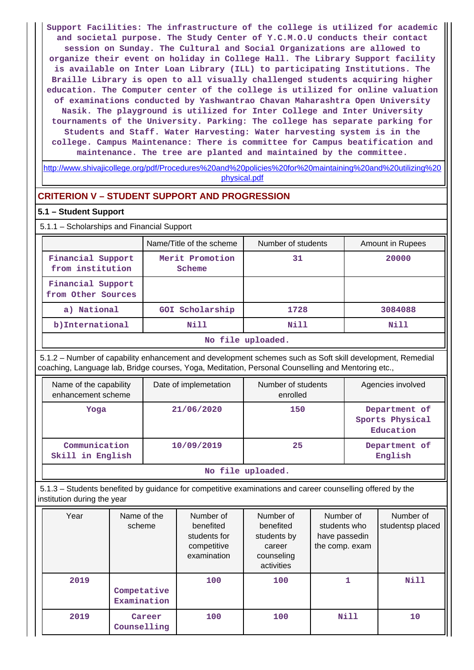**Support Facilities: The infrastructure of the college is utilized for academic and societal purpose. The Study Center of Y.C.M.O.U conducts their contact session on Sunday. The Cultural and Social Organizations are allowed to organize their event on holiday in College Hall. The Library Support facility is available on Inter Loan Library (ILL) to participating Institutions. The Braille Library is open to all visually challenged students acquiring higher education. The Computer center of the college is utilized for online valuation of examinations conducted by Yashwantrao Chavan Maharashtra Open University Nasik. The playground is utilized for Inter College and Inter University tournaments of the University. Parking: The college has separate parking for Students and Staff. Water Harvesting: Water harvesting system is in the college. Campus Maintenance: There is committee for Campus beatification and maintenance. The tree are planted and maintained by the committee.**

[http://www.shivajicollege.org/pdf/Procedures%20and%20policies%20for%20maintaining%20and%20utilizing%20](http://www.shivajicollege.org/pdf/Procedures%20and%20policies%20for%20maintaining%20and%20utilizing%20physical.pdf) [physical.pdf](http://www.shivajicollege.org/pdf/Procedures%20and%20policies%20for%20maintaining%20and%20utilizing%20physical.pdf)

# **CRITERION V – STUDENT SUPPORT AND PROGRESSION**

#### **5.1 – Student Support**

5.1.1 – Scholarships and Financial Support

|                                         | Name/Title of the scheme  | Number of students | Amount in Rupees |  |  |  |
|-----------------------------------------|---------------------------|--------------------|------------------|--|--|--|
| Financial Support<br>from institution   | Merit Promotion<br>Scheme | 31                 | 20000            |  |  |  |
| Financial Support<br>from Other Sources |                           |                    |                  |  |  |  |
| a) National                             | GOI Scholarship           | 1728               | 3084088          |  |  |  |
| b) International                        | Nill                      | Nill               | Nill             |  |  |  |
| No file uploaded.                       |                           |                    |                  |  |  |  |

 5.1.2 – Number of capability enhancement and development schemes such as Soft skill development, Remedial coaching, Language lab, Bridge courses, Yoga, Meditation, Personal Counselling and Mentoring etc.,

| Name of the capability<br>enhancement scheme | Date of implemetation | Number of students<br>enrolled | Agencies involved                             |  |  |  |
|----------------------------------------------|-----------------------|--------------------------------|-----------------------------------------------|--|--|--|
| Yoga                                         | 21/06/2020            | 150                            | Department of<br>Sports Physical<br>Education |  |  |  |
| Communication<br>Skill in English            | 10/09/2019            | 25                             | Department of<br>English                      |  |  |  |
| No file uploaded.                            |                       |                                |                                               |  |  |  |

 5.1.3 – Students benefited by guidance for competitive examinations and career counselling offered by the institution during the year

| Year | Name of the<br>scheme      | Number of<br>benefited<br>students for<br>competitive<br>examination | Number of<br>benefited<br>students by<br>career<br>counseling<br>activities | Number of<br>students who<br>have passedin<br>the comp. exam | Number of<br>studentsp placed |
|------|----------------------------|----------------------------------------------------------------------|-----------------------------------------------------------------------------|--------------------------------------------------------------|-------------------------------|
| 2019 | Competative<br>Examination | 100                                                                  | 100                                                                         | 1                                                            | <b>Nill</b>                   |
| 2019 | Career<br>Counselling      | 100                                                                  | 100                                                                         | Nill                                                         | 10                            |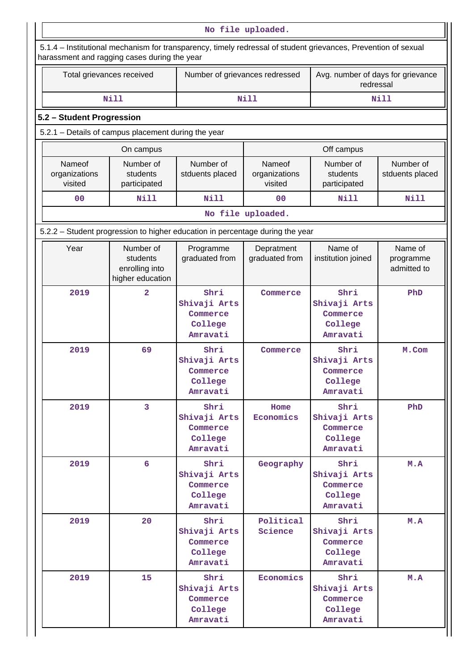| No file uploaded.                  |                                                                                                                                                                |                                                         |                                    |                                                         |                                     |  |  |  |
|------------------------------------|----------------------------------------------------------------------------------------------------------------------------------------------------------------|---------------------------------------------------------|------------------------------------|---------------------------------------------------------|-------------------------------------|--|--|--|
|                                    | 5.1.4 - Institutional mechanism for transparency, timely redressal of student grievances, Prevention of sexual<br>harassment and ragging cases during the year |                                                         |                                    |                                                         |                                     |  |  |  |
|                                    | Total grievances received                                                                                                                                      | Number of grievances redressed                          |                                    | Avg. number of days for grievance<br>redressal          |                                     |  |  |  |
|                                    | Nill                                                                                                                                                           |                                                         | Nill                               |                                                         | Nill                                |  |  |  |
| 5.2 - Student Progression          |                                                                                                                                                                |                                                         |                                    |                                                         |                                     |  |  |  |
|                                    | 5.2.1 - Details of campus placement during the year                                                                                                            |                                                         |                                    |                                                         |                                     |  |  |  |
|                                    | On campus                                                                                                                                                      |                                                         |                                    | Off campus                                              |                                     |  |  |  |
| Nameof<br>organizations<br>visited | Number of<br>students<br>participated                                                                                                                          | Number of<br>stduents placed                            | Nameof<br>organizations<br>visited | Number of<br>students<br>participated                   | Number of<br>stduents placed        |  |  |  |
| 0 <sub>0</sub>                     | <b>Nill</b>                                                                                                                                                    | <b>Nill</b>                                             | 0 <sup>0</sup>                     | Nill                                                    | <b>Nill</b>                         |  |  |  |
|                                    |                                                                                                                                                                |                                                         | No file uploaded.                  |                                                         |                                     |  |  |  |
|                                    | 5.2.2 – Student progression to higher education in percentage during the year                                                                                  |                                                         |                                    |                                                         |                                     |  |  |  |
| Year                               | Number of<br>students<br>enrolling into<br>higher education                                                                                                    | Programme<br>graduated from                             | Depratment<br>graduated from       | Name of<br>institution joined                           | Name of<br>programme<br>admitted to |  |  |  |
| 2019                               | $\overline{a}$                                                                                                                                                 | Shri<br>Shivaji Arts<br>Commerce<br>College<br>Amravati | Commerce                           | Shri<br>Shivaji Arts<br>Commerce<br>College<br>Amravati | PhD                                 |  |  |  |
| 2019                               | 69                                                                                                                                                             | Shri<br>Shivaji Arts<br>Commerce<br>College<br>Amravati | Commerce                           | Shri<br>Shivaji Arts<br>Commerce<br>College<br>Amravati | M.Com                               |  |  |  |
| 2019                               | 3                                                                                                                                                              | Shri<br>Shivaji Arts<br>Commerce<br>College<br>Amravati | Home<br>Economics                  | Shri<br>Shivaji Arts<br>Commerce<br>College<br>Amravati | PhD                                 |  |  |  |
| 2019                               | 6                                                                                                                                                              | Shri<br>Shivaji Arts<br>Commerce<br>College<br>Amravati | Geography                          | Shri<br>Shivaji Arts<br>Commerce<br>College<br>Amravati | M.A                                 |  |  |  |
| 2019                               | 20                                                                                                                                                             | Shri<br>Shivaji Arts<br>Commerce<br>College<br>Amravati | Political<br>Science               | Shri<br>Shivaji Arts<br>Commerce<br>College<br>Amravati | M.A                                 |  |  |  |
| 2019                               | 15                                                                                                                                                             | Shri<br>Shivaji Arts<br>Commerce<br>College<br>Amravati | Economics                          | Shri<br>Shivaji Arts<br>Commerce<br>College<br>Amravati | M.A                                 |  |  |  |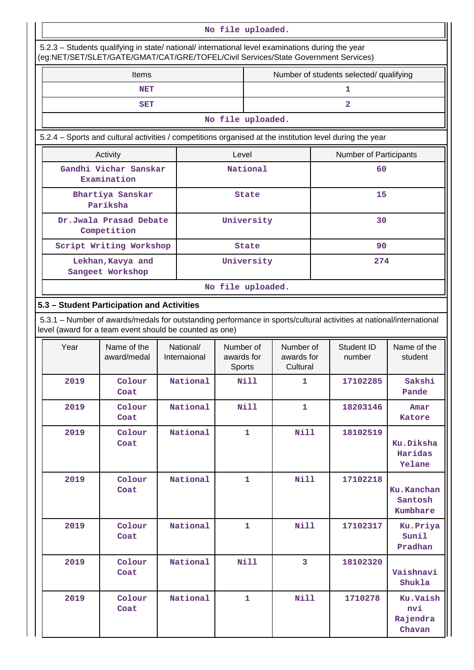| No file uploaded.                                                                                                                                                                      |                                                                                                                                                                                |  |                           |                                   |                   |                                     |  |                                         |                                       |  |
|----------------------------------------------------------------------------------------------------------------------------------------------------------------------------------------|--------------------------------------------------------------------------------------------------------------------------------------------------------------------------------|--|---------------------------|-----------------------------------|-------------------|-------------------------------------|--|-----------------------------------------|---------------------------------------|--|
| 5.2.3 - Students qualifying in state/ national/ international level examinations during the year<br>(eg:NET/SET/SLET/GATE/GMAT/CAT/GRE/TOFEL/Civil Services/State Government Services) |                                                                                                                                                                                |  |                           |                                   |                   |                                     |  |                                         |                                       |  |
| <b>Items</b>                                                                                                                                                                           |                                                                                                                                                                                |  |                           |                                   |                   |                                     |  | Number of students selected/ qualifying |                                       |  |
|                                                                                                                                                                                        | <b>NET</b>                                                                                                                                                                     |  |                           |                                   |                   |                                     |  | 1                                       |                                       |  |
|                                                                                                                                                                                        | <b>SET</b>                                                                                                                                                                     |  |                           |                                   |                   |                                     |  | $\overline{2}$                          |                                       |  |
|                                                                                                                                                                                        |                                                                                                                                                                                |  |                           |                                   | No file uploaded. |                                     |  |                                         |                                       |  |
|                                                                                                                                                                                        | 5.2.4 - Sports and cultural activities / competitions organised at the institution level during the year                                                                       |  |                           |                                   |                   |                                     |  |                                         |                                       |  |
|                                                                                                                                                                                        | Activity                                                                                                                                                                       |  |                           | Level                             |                   |                                     |  | Number of Participants                  |                                       |  |
|                                                                                                                                                                                        | Gandhi Vichar Sanskar<br>Examination                                                                                                                                           |  |                           |                                   | National          |                                     |  | 60                                      |                                       |  |
|                                                                                                                                                                                        | Bhartiya Sanskar<br>Pariksha                                                                                                                                                   |  |                           |                                   | <b>State</b>      |                                     |  | 15                                      |                                       |  |
|                                                                                                                                                                                        | Dr.Jwala Prasad Debate<br>Competition                                                                                                                                          |  |                           |                                   | University        |                                     |  | 30                                      |                                       |  |
|                                                                                                                                                                                        | Script Writing Workshop                                                                                                                                                        |  |                           |                                   | <b>State</b>      |                                     |  | 90                                      |                                       |  |
|                                                                                                                                                                                        | Lekhan, Kavya and<br>Sangeet Workshop                                                                                                                                          |  |                           |                                   | University        |                                     |  | 274                                     |                                       |  |
|                                                                                                                                                                                        |                                                                                                                                                                                |  |                           |                                   | No file uploaded. |                                     |  |                                         |                                       |  |
| 5.3 - Student Participation and Activities                                                                                                                                             |                                                                                                                                                                                |  |                           |                                   |                   |                                     |  |                                         |                                       |  |
|                                                                                                                                                                                        | 5.3.1 – Number of awards/medals for outstanding performance in sports/cultural activities at national/international<br>level (award for a team event should be counted as one) |  |                           |                                   |                   |                                     |  |                                         |                                       |  |
| Year                                                                                                                                                                                   | Name of the<br>award/medal                                                                                                                                                     |  | National/<br>Internaional | Number of<br>awards for<br>Sports |                   | Number of<br>awards for<br>Cultural |  | Student ID<br>number                    | Name of the<br>student                |  |
| 2019                                                                                                                                                                                   | Colour<br>Coat                                                                                                                                                                 |  | National                  |                                   | Nill              | 1                                   |  | 17102285                                | Sakshi<br>Pande                       |  |
| 2019                                                                                                                                                                                   | Colour<br>Coat                                                                                                                                                                 |  | National                  |                                   | <b>Nill</b>       | 1                                   |  | 18203146                                | Amar<br>Katore                        |  |
| 2019                                                                                                                                                                                   | Colour<br>Coat                                                                                                                                                                 |  | National                  |                                   | $\mathbf{1}$      | Nill                                |  | 18102519                                | Ku.Diksha<br>Haridas<br>Yelane        |  |
| 2019                                                                                                                                                                                   | Colour<br>Coat                                                                                                                                                                 |  | National                  |                                   | $\mathbf{1}$      | <b>Nill</b>                         |  | 17102218                                | Ku.Kanchan<br>Santosh<br>Kumbhare     |  |
| 2019                                                                                                                                                                                   | Colour<br>Coat                                                                                                                                                                 |  | National                  |                                   | 1                 | <b>Nill</b>                         |  | 17102317                                | Ku. Priya<br>Sunil<br>Pradhan         |  |
| 2019                                                                                                                                                                                   | Colour<br>Coat                                                                                                                                                                 |  | National                  |                                   | Nill              | 3                                   |  | 18102320                                | Vaishnavi<br>Shukla                   |  |
| 2019                                                                                                                                                                                   | Colour<br>Coat                                                                                                                                                                 |  | National                  |                                   | 1                 | Nill                                |  | 1710278                                 | Ku.Vaish<br>nvi<br>Rajendra<br>Chavan |  |

a pr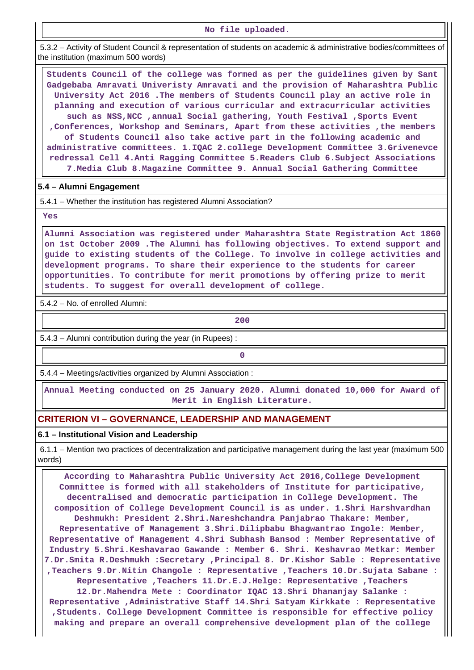**No file uploaded.**

 5.3.2 – Activity of Student Council & representation of students on academic & administrative bodies/committees of the institution (maximum 500 words)

 **Students Council of the college was formed as per the guidelines given by Sant Gadgebaba Amravati Univeristy Amravati and the provision of Maharashtra Public University Act 2016 .The members of Students Council play an active role in planning and execution of various curricular and extracurricular activities such as NSS,NCC ,annual Social gathering, Youth Festival ,Sports Event ,Conferences, Workshop and Seminars, Apart from these activities ,the members of Students Council also take active part in the following academic and administrative committees. 1.IQAC 2.college Development Committee 3.Grivenevce redressal Cell 4.Anti Ragging Committee 5.Readers Club 6.Subject Associations 7.Media Club 8.Magazine Committee 9. Annual Social Gathering Committee**

### **5.4 – Alumni Engagement**

5.4.1 – Whether the institution has registered Alumni Association?

 **Yes**

 **Alumni Association was registered under Maharashtra State Registration Act 1860 on 1st October 2009 .The Alumni has following objectives. To extend support and guide to existing students of the College. To involve in college activities and development programs. To share their experience to the students for career opportunities. To contribute for merit promotions by offering prize to merit students. To suggest for overall development of college.**

5.4.2 – No. of enrolled Alumni:

**200**

5.4.3 – Alumni contribution during the year (in Rupees) :

**0**

5.4.4 – Meetings/activities organized by Alumni Association :

 **Annual Meeting conducted on 25 January 2020. Alumni donated 10,000 for Award of Merit in English Literature.**

## **CRITERION VI – GOVERNANCE, LEADERSHIP AND MANAGEMENT**

#### **6.1 – Institutional Vision and Leadership**

 6.1.1 – Mention two practices of decentralization and participative management during the last year (maximum 500 words)

 **According to Maharashtra Public University Act 2016,College Development Committee is formed with all stakeholders of Institute for participative, decentralised and democratic participation in College Development. The composition of College Development Council is as under. 1.Shri Harshvardhan Deshmukh: President 2.Shri.Nareshchandra Panjabrao Thakare: Member, Representative of Management 3.Shri.Dilipbabu Bhagwantrao Ingole: Member, Representative of Management 4.Shri Subhash Bansod : Member Representative of Industry 5.Shri.Keshavarao Gawande : Member 6. Shri. Keshavrao Metkar: Member 7.Dr.Smita R.Deshmukh :Secretary ,Principal 8. Dr.Kishor Sable : Representative ,Teachers 9.Dr.Nitin Changole : Representative ,Teachers 10.Dr.Sujata Sabane : Representative ,Teachers 11.Dr.E.J.Helge: Representative ,Teachers 12.Dr.Mahendra Mete : Coordinator IQAC 13.Shri Dhananjay Salanke : Representative ,Administrative Staff 14.Shri Satyam Kirkkate : Representative ,Students. College Development Committee is responsible for effective policy making and prepare an overall comprehensive development plan of the college**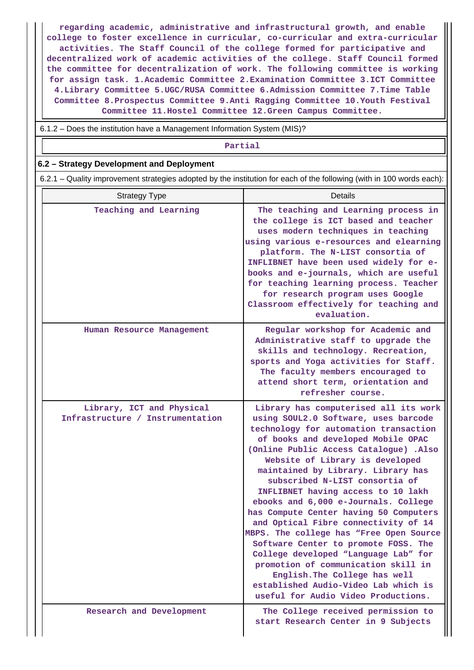**regarding academic, administrative and infrastructural growth, and enable college to foster excellence in curricular, co-curricular and extra-curricular activities. The Staff Council of the college formed for participative and decentralized work of academic activities of the college. Staff Council formed the committee for decentralization of work. The following committee is working for assign task. 1.Academic Committee 2.Examination Committee 3.ICT Committee 4.Library Committee 5.UGC/RUSA Committee 6.Admission Committee 7.Time Table Committee 8.Prospectus Committee 9.Anti Ragging Committee 10.Youth Festival Committee 11.Hostel Committee 12.Green Campus Committee.**

6.1.2 – Does the institution have a Management Information System (MIS)?

#### **Partial**

### **6.2 – Strategy Development and Deployment**

6.2.1 – Quality improvement strategies adopted by the institution for each of the following (with in 100 words each):

| <b>Strategy Type</b>                                          | Details                                                                                                                                                                                                                                                                                                                                                                                                                                                                                                                                                                                                                                                                                                                                                             |
|---------------------------------------------------------------|---------------------------------------------------------------------------------------------------------------------------------------------------------------------------------------------------------------------------------------------------------------------------------------------------------------------------------------------------------------------------------------------------------------------------------------------------------------------------------------------------------------------------------------------------------------------------------------------------------------------------------------------------------------------------------------------------------------------------------------------------------------------|
| Teaching and Learning                                         | The teaching and Learning process in<br>the college is ICT based and teacher<br>uses modern techniques in teaching<br>using various e-resources and elearning<br>platform. The N-LIST consortia of<br>INFLIBNET have been used widely for e-<br>books and e-journals, which are useful<br>for teaching learning process. Teacher<br>for research program uses Google<br>Classroom effectively for teaching and<br>evaluation.                                                                                                                                                                                                                                                                                                                                       |
| Human Resource Management                                     | Regular workshop for Academic and<br>Administrative staff to upgrade the<br>skills and technology. Recreation,<br>sports and Yoga activities for Staff.<br>The faculty members encouraged to<br>attend short term, orientation and<br>refresher course.                                                                                                                                                                                                                                                                                                                                                                                                                                                                                                             |
| Library, ICT and Physical<br>Infrastructure / Instrumentation | Library has computerised all its work<br>using SOUL2.0 Software, uses barcode<br>technology for automation transaction<br>of books and developed Mobile OPAC<br>(Online Public Access Catalogue) .Also<br>Website of Library is developed<br>maintained by Library. Library has<br>subscribed N-LIST consortia of<br>INFLIBNET having access to 10 lakh<br>ebooks and 6,000 e-Journals. College<br>has Compute Center having 50 Computers<br>and Optical Fibre connectivity of 14<br>MBPS. The college has "Free Open Source<br>Software Center to promote FOSS. The<br>College developed "Language Lab" for<br>promotion of communication skill in<br>English. The College has well<br>established Audio-Video Lab which is<br>useful for Audio Video Productions. |
| Research and Development                                      | The College received permission to<br>start Research Center in 9 Subjects                                                                                                                                                                                                                                                                                                                                                                                                                                                                                                                                                                                                                                                                                           |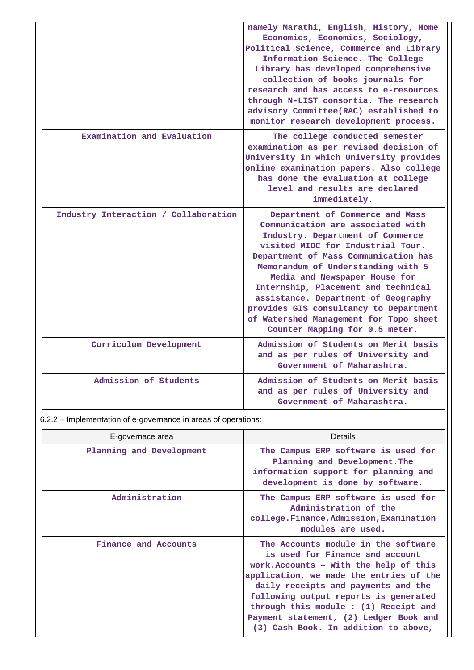|                                      | namely Marathi, English, History, Home<br>Economics, Economics, Sociology,<br>Political Science, Commerce and Library<br>Information Science. The College<br>Library has developed comprehensive<br>collection of books journals for<br>research and has access to e-resources<br>through N-LIST consortia. The research<br>advisory Committee(RAC) established to<br>monitor research development process.                                                      |
|--------------------------------------|------------------------------------------------------------------------------------------------------------------------------------------------------------------------------------------------------------------------------------------------------------------------------------------------------------------------------------------------------------------------------------------------------------------------------------------------------------------|
| Examination and Evaluation           | The college conducted semester<br>examination as per revised decision of<br>University in which University provides<br>online examination papers. Also college<br>has done the evaluation at college<br>level and results are declared<br>immediately.                                                                                                                                                                                                           |
| Industry Interaction / Collaboration | Department of Commerce and Mass<br>Communication are associated with<br>Industry. Department of Commerce<br>visited MIDC for Industrial Tour.<br>Department of Mass Communication has<br>Memorandum of Understanding with 5<br>Media and Newspaper House for<br>Internship, Placement and technical<br>assistance. Department of Geography<br>provides GIS consultancy to Department<br>of Watershed Management for Topo sheet<br>Counter Mapping for 0.5 meter. |
| Curriculum Development               | Admission of Students on Merit basis<br>and as per rules of University and<br>Government of Maharashtra.                                                                                                                                                                                                                                                                                                                                                         |
| Admission of Students                | Admission of Students on Merit basis<br>and as per rules of University and<br>Government of Maharashtra.                                                                                                                                                                                                                                                                                                                                                         |

6.2.2 – Implementation of e-governance in areas of operations:

| E-governace area         | <b>Details</b>                                                                                                                                                                                                                                                                                                                                                         |
|--------------------------|------------------------------------------------------------------------------------------------------------------------------------------------------------------------------------------------------------------------------------------------------------------------------------------------------------------------------------------------------------------------|
| Planning and Development | The Campus ERP software is used for<br>Planning and Development. The<br>information support for planning and<br>development is done by software.                                                                                                                                                                                                                       |
| Administration           | The Campus ERP software is used for<br>Administration of the<br>college.Finance, Admission, Examination<br>modules are used.                                                                                                                                                                                                                                           |
| Finance and Accounts     | The Accounts module in the software<br>is used for Finance and account<br>work. Accounts - With the help of this<br>application, we made the entries of the<br>daily receipts and payments and the<br>following output reports is generated<br>through this module : (1) Receipt and<br>Payment statement, (2) Ledger Book and<br>(3) Cash Book. In addition to above, |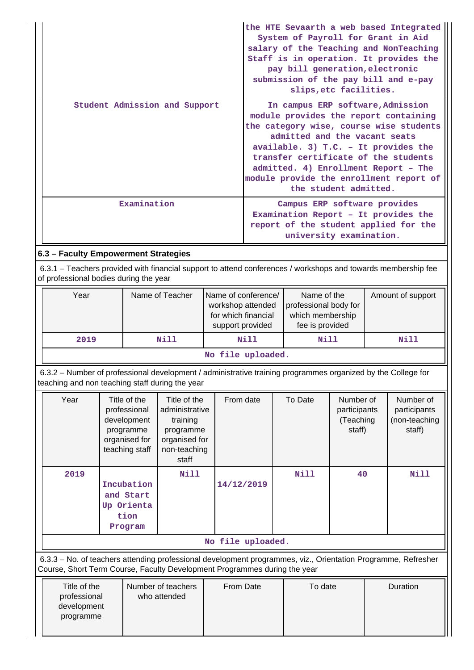|                                                                                                                                                         | the HTE Sevaarth a web based Integrated<br>System of Payroll for Grant in Aid<br>salary of the Teaching and NonTeaching<br>Staff is in operation. It provides the<br>pay bill generation, electronic<br>submission of the pay bill and e-pay<br>slips, etc facilities.                                                                               |  |  |  |  |  |  |
|---------------------------------------------------------------------------------------------------------------------------------------------------------|------------------------------------------------------------------------------------------------------------------------------------------------------------------------------------------------------------------------------------------------------------------------------------------------------------------------------------------------------|--|--|--|--|--|--|
| Student Admission and Support                                                                                                                           | In campus ERP software, Admission<br>module provides the report containing<br>the category wise, course wise students<br>admitted and the vacant seats<br>available. 3) $T.C. - It provides the$<br>transfer certificate of the students<br>admitted. 4) Enrollment Report - The<br>module provide the enrollment report of<br>the student admitted. |  |  |  |  |  |  |
| Examination                                                                                                                                             | Campus ERP software provides<br>Examination Report - It provides the<br>report of the student applied for the<br>university examination.                                                                                                                                                                                                             |  |  |  |  |  |  |
| 6.3 - Faculty Empowerment Strategies                                                                                                                    |                                                                                                                                                                                                                                                                                                                                                      |  |  |  |  |  |  |
| 6.3.1 - Teachers provided with financial support to attend conferences / workshops and towards membership fee<br>of professional bodies during the year |                                                                                                                                                                                                                                                                                                                                                      |  |  |  |  |  |  |
|                                                                                                                                                         |                                                                                                                                                                                                                                                                                                                                                      |  |  |  |  |  |  |

| Year                    | Name of Teacher | Name of conference/<br>workshop attended<br>for which financial<br>support provided | Name of the<br>professional body for<br>which membership<br>fee is provided | Amount of support |  |  |  |  |
|-------------------------|-----------------|-------------------------------------------------------------------------------------|-----------------------------------------------------------------------------|-------------------|--|--|--|--|
| 2019                    | Nill            | Nill                                                                                | Nill                                                                        | Nill              |  |  |  |  |
| ara 1947 a cuata a Salt |                 |                                                                                     |                                                                             |                   |  |  |  |  |

# **No file uploaded.**

 6.3.2 – Number of professional development / administrative training programmes organized by the College for teaching and non teaching staff during the year

| Year              | Title of the<br>professional<br>development<br>programme<br>organised for<br>teaching staff | Title of the<br>administrative<br>training<br>programme<br>organised for<br>non-teaching<br>staff | From date  | To Date     | Number of<br>participants<br>(Teaching<br>staff) | Number of<br>participants<br>(non-teaching<br>staff) |  |  |
|-------------------|---------------------------------------------------------------------------------------------|---------------------------------------------------------------------------------------------------|------------|-------------|--------------------------------------------------|------------------------------------------------------|--|--|
| 2019              | Incubation<br>and Start<br>Up Orienta<br>tion<br>Program                                    | Nill                                                                                              | 14/12/2019 | <b>Nill</b> | 40                                               | Nill                                                 |  |  |
| No file uploaded. |                                                                                             |                                                                                                   |            |             |                                                  |                                                      |  |  |

 6.3.3 – No. of teachers attending professional development programmes, viz., Orientation Programme, Refresher Course, Short Term Course, Faculty Development Programmes during the year

| Title of the<br>professional | Number of teachers<br>who attended | From Date | To date | <b>Duration</b> |
|------------------------------|------------------------------------|-----------|---------|-----------------|
| development                  |                                    |           |         |                 |
| programme                    |                                    |           |         |                 |
|                              |                                    |           |         |                 |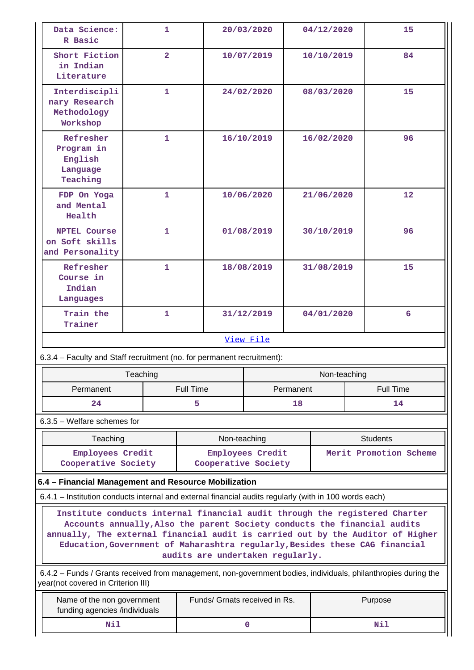| Data Science:<br>1.<br>20/03/2020<br>04/12/2020<br>15<br>R Basic<br>Short Fiction<br>$\overline{\mathbf{2}}$<br>10/07/2019<br>10/10/2019<br>84<br>in Indian<br>Literature<br>Interdiscipli<br>$\mathbf{1}$<br>24/02/2020<br>08/03/2020<br>15<br>nary Research<br>Methodology<br>Workshop<br>Refresher<br>$\mathbf{1}$<br>96<br>16/10/2019<br>16/02/2020<br>Program in<br>English<br>Language<br>Teaching<br>$\mathbf{1}$<br>12<br>FDP On Yoga<br>10/06/2020<br>21/06/2020<br>and Mental<br>Health<br>$\mathbf{1}$<br>01/08/2019<br>30/10/2019<br>96<br><b>NPTEL Course</b><br>on Soft skills<br>and Personality<br>Refresher<br>$\mathbf{1}$<br>15<br>18/08/2019<br>31/08/2019<br>Course in<br>Indian<br>Languages<br>Train the<br>1<br>31/12/2019<br>04/01/2020<br>6<br>Trainer<br>View File<br>6.3.4 – Faculty and Staff recruitment (no. for permanent recruitment):<br>Teaching<br>Non-teaching<br><b>Full Time</b><br>Permanent<br><b>Full Time</b><br>Permanent<br>24<br>5<br>18<br>14<br>$6.3.5$ – Welfare schemes for<br>Teaching<br>Non-teaching<br><b>Students</b><br>Employees Credit<br>Merit Promotion Scheme<br>Employees Credit<br>Cooperative Society<br>Cooperative Society<br>6.4 - Financial Management and Resource Mobilization<br>6.4.1 – Institution conducts internal and external financial audits regularly (with in 100 words each)<br>Institute conducts internal financial audit through the registered Charter<br>Accounts annually, Also the parent Society conducts the financial audits<br>Education, Government of Maharashtra regularly, Besides these CAG financial<br>audits are undertaken regularly.<br>6.4.2 – Funds / Grants received from management, non-government bodies, individuals, philanthropies during the<br>year(not covered in Criterion III)<br>Funds/ Grnats received in Rs.<br>Name of the non government<br>Purpose |                                                                                |  |  |  |  |  |  |  |
|-------------------------------------------------------------------------------------------------------------------------------------------------------------------------------------------------------------------------------------------------------------------------------------------------------------------------------------------------------------------------------------------------------------------------------------------------------------------------------------------------------------------------------------------------------------------------------------------------------------------------------------------------------------------------------------------------------------------------------------------------------------------------------------------------------------------------------------------------------------------------------------------------------------------------------------------------------------------------------------------------------------------------------------------------------------------------------------------------------------------------------------------------------------------------------------------------------------------------------------------------------------------------------------------------------------------------------------------------------------------------------------------------------------------------------------------------------------------------------------------------------------------------------------------------------------------------------------------------------------------------------------------------------------------------------------------------------------------------------------------------------------------------------------------------------------------------------------------------------------------------------|--------------------------------------------------------------------------------|--|--|--|--|--|--|--|
|                                                                                                                                                                                                                                                                                                                                                                                                                                                                                                                                                                                                                                                                                                                                                                                                                                                                                                                                                                                                                                                                                                                                                                                                                                                                                                                                                                                                                                                                                                                                                                                                                                                                                                                                                                                                                                                                               |                                                                                |  |  |  |  |  |  |  |
|                                                                                                                                                                                                                                                                                                                                                                                                                                                                                                                                                                                                                                                                                                                                                                                                                                                                                                                                                                                                                                                                                                                                                                                                                                                                                                                                                                                                                                                                                                                                                                                                                                                                                                                                                                                                                                                                               |                                                                                |  |  |  |  |  |  |  |
|                                                                                                                                                                                                                                                                                                                                                                                                                                                                                                                                                                                                                                                                                                                                                                                                                                                                                                                                                                                                                                                                                                                                                                                                                                                                                                                                                                                                                                                                                                                                                                                                                                                                                                                                                                                                                                                                               |                                                                                |  |  |  |  |  |  |  |
|                                                                                                                                                                                                                                                                                                                                                                                                                                                                                                                                                                                                                                                                                                                                                                                                                                                                                                                                                                                                                                                                                                                                                                                                                                                                                                                                                                                                                                                                                                                                                                                                                                                                                                                                                                                                                                                                               |                                                                                |  |  |  |  |  |  |  |
|                                                                                                                                                                                                                                                                                                                                                                                                                                                                                                                                                                                                                                                                                                                                                                                                                                                                                                                                                                                                                                                                                                                                                                                                                                                                                                                                                                                                                                                                                                                                                                                                                                                                                                                                                                                                                                                                               |                                                                                |  |  |  |  |  |  |  |
|                                                                                                                                                                                                                                                                                                                                                                                                                                                                                                                                                                                                                                                                                                                                                                                                                                                                                                                                                                                                                                                                                                                                                                                                                                                                                                                                                                                                                                                                                                                                                                                                                                                                                                                                                                                                                                                                               |                                                                                |  |  |  |  |  |  |  |
|                                                                                                                                                                                                                                                                                                                                                                                                                                                                                                                                                                                                                                                                                                                                                                                                                                                                                                                                                                                                                                                                                                                                                                                                                                                                                                                                                                                                                                                                                                                                                                                                                                                                                                                                                                                                                                                                               |                                                                                |  |  |  |  |  |  |  |
|                                                                                                                                                                                                                                                                                                                                                                                                                                                                                                                                                                                                                                                                                                                                                                                                                                                                                                                                                                                                                                                                                                                                                                                                                                                                                                                                                                                                                                                                                                                                                                                                                                                                                                                                                                                                                                                                               |                                                                                |  |  |  |  |  |  |  |
|                                                                                                                                                                                                                                                                                                                                                                                                                                                                                                                                                                                                                                                                                                                                                                                                                                                                                                                                                                                                                                                                                                                                                                                                                                                                                                                                                                                                                                                                                                                                                                                                                                                                                                                                                                                                                                                                               |                                                                                |  |  |  |  |  |  |  |
|                                                                                                                                                                                                                                                                                                                                                                                                                                                                                                                                                                                                                                                                                                                                                                                                                                                                                                                                                                                                                                                                                                                                                                                                                                                                                                                                                                                                                                                                                                                                                                                                                                                                                                                                                                                                                                                                               |                                                                                |  |  |  |  |  |  |  |
|                                                                                                                                                                                                                                                                                                                                                                                                                                                                                                                                                                                                                                                                                                                                                                                                                                                                                                                                                                                                                                                                                                                                                                                                                                                                                                                                                                                                                                                                                                                                                                                                                                                                                                                                                                                                                                                                               |                                                                                |  |  |  |  |  |  |  |
|                                                                                                                                                                                                                                                                                                                                                                                                                                                                                                                                                                                                                                                                                                                                                                                                                                                                                                                                                                                                                                                                                                                                                                                                                                                                                                                                                                                                                                                                                                                                                                                                                                                                                                                                                                                                                                                                               |                                                                                |  |  |  |  |  |  |  |
|                                                                                                                                                                                                                                                                                                                                                                                                                                                                                                                                                                                                                                                                                                                                                                                                                                                                                                                                                                                                                                                                                                                                                                                                                                                                                                                                                                                                                                                                                                                                                                                                                                                                                                                                                                                                                                                                               |                                                                                |  |  |  |  |  |  |  |
|                                                                                                                                                                                                                                                                                                                                                                                                                                                                                                                                                                                                                                                                                                                                                                                                                                                                                                                                                                                                                                                                                                                                                                                                                                                                                                                                                                                                                                                                                                                                                                                                                                                                                                                                                                                                                                                                               |                                                                                |  |  |  |  |  |  |  |
|                                                                                                                                                                                                                                                                                                                                                                                                                                                                                                                                                                                                                                                                                                                                                                                                                                                                                                                                                                                                                                                                                                                                                                                                                                                                                                                                                                                                                                                                                                                                                                                                                                                                                                                                                                                                                                                                               |                                                                                |  |  |  |  |  |  |  |
|                                                                                                                                                                                                                                                                                                                                                                                                                                                                                                                                                                                                                                                                                                                                                                                                                                                                                                                                                                                                                                                                                                                                                                                                                                                                                                                                                                                                                                                                                                                                                                                                                                                                                                                                                                                                                                                                               |                                                                                |  |  |  |  |  |  |  |
|                                                                                                                                                                                                                                                                                                                                                                                                                                                                                                                                                                                                                                                                                                                                                                                                                                                                                                                                                                                                                                                                                                                                                                                                                                                                                                                                                                                                                                                                                                                                                                                                                                                                                                                                                                                                                                                                               |                                                                                |  |  |  |  |  |  |  |
|                                                                                                                                                                                                                                                                                                                                                                                                                                                                                                                                                                                                                                                                                                                                                                                                                                                                                                                                                                                                                                                                                                                                                                                                                                                                                                                                                                                                                                                                                                                                                                                                                                                                                                                                                                                                                                                                               |                                                                                |  |  |  |  |  |  |  |
|                                                                                                                                                                                                                                                                                                                                                                                                                                                                                                                                                                                                                                                                                                                                                                                                                                                                                                                                                                                                                                                                                                                                                                                                                                                                                                                                                                                                                                                                                                                                                                                                                                                                                                                                                                                                                                                                               | annually, The external financial audit is carried out by the Auditor of Higher |  |  |  |  |  |  |  |
|                                                                                                                                                                                                                                                                                                                                                                                                                                                                                                                                                                                                                                                                                                                                                                                                                                                                                                                                                                                                                                                                                                                                                                                                                                                                                                                                                                                                                                                                                                                                                                                                                                                                                                                                                                                                                                                                               |                                                                                |  |  |  |  |  |  |  |
|                                                                                                                                                                                                                                                                                                                                                                                                                                                                                                                                                                                                                                                                                                                                                                                                                                                                                                                                                                                                                                                                                                                                                                                                                                                                                                                                                                                                                                                                                                                                                                                                                                                                                                                                                                                                                                                                               | funding agencies /individuals                                                  |  |  |  |  |  |  |  |

 **Nil 0 Nil**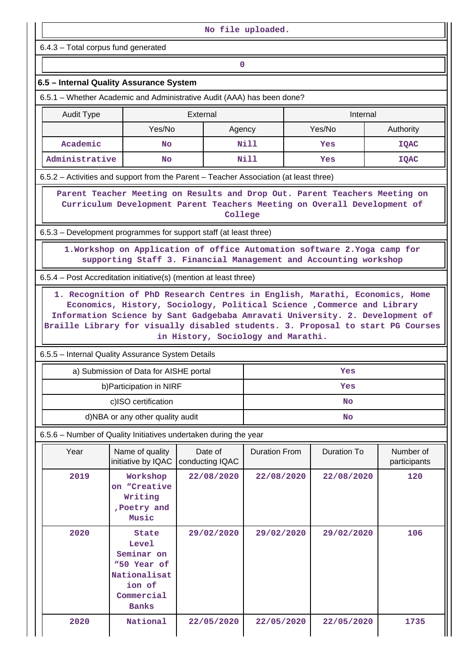| No file uploaded.                                                                                                                    |                                                                                                            |                                                                                                                                                                                               |                      |  |             |                           |  |  |  |  |
|--------------------------------------------------------------------------------------------------------------------------------------|------------------------------------------------------------------------------------------------------------|-----------------------------------------------------------------------------------------------------------------------------------------------------------------------------------------------|----------------------|--|-------------|---------------------------|--|--|--|--|
| 6.4.3 - Total corpus fund generated                                                                                                  |                                                                                                            |                                                                                                                                                                                               |                      |  |             |                           |  |  |  |  |
|                                                                                                                                      | 0                                                                                                          |                                                                                                                                                                                               |                      |  |             |                           |  |  |  |  |
| 6.5 - Internal Quality Assurance System                                                                                              |                                                                                                            |                                                                                                                                                                                               |                      |  |             |                           |  |  |  |  |
| 6.5.1 – Whether Academic and Administrative Audit (AAA) has been done?                                                               |                                                                                                            |                                                                                                                                                                                               |                      |  |             |                           |  |  |  |  |
| <b>Audit Type</b>                                                                                                                    |                                                                                                            | External                                                                                                                                                                                      |                      |  | Internal    |                           |  |  |  |  |
|                                                                                                                                      | Yes/No                                                                                                     | Agency                                                                                                                                                                                        |                      |  | Yes/No      | Authority                 |  |  |  |  |
| Academic                                                                                                                             | <b>No</b>                                                                                                  |                                                                                                                                                                                               | Nill                 |  | Yes         | <b>IQAC</b>               |  |  |  |  |
| Administrative                                                                                                                       | <b>No</b>                                                                                                  |                                                                                                                                                                                               | Nill                 |  | Yes         | <b>IQAC</b>               |  |  |  |  |
| 6.5.2 – Activities and support from the Parent – Teacher Association (at least three)                                                |                                                                                                            |                                                                                                                                                                                               |                      |  |             |                           |  |  |  |  |
|                                                                                                                                      |                                                                                                            | Parent Teacher Meeting on Results and Drop Out. Parent Teachers Meeting on<br>Curriculum Development Parent Teachers Meeting on Overall Development of<br>College                             |                      |  |             |                           |  |  |  |  |
| 6.5.3 – Development programmes for support staff (at least three)                                                                    |                                                                                                            |                                                                                                                                                                                               |                      |  |             |                           |  |  |  |  |
|                                                                                                                                      |                                                                                                            | 1. Workshop on Application of office Automation software 2. Yoga camp for                                                                                                                     |                      |  |             |                           |  |  |  |  |
|                                                                                                                                      |                                                                                                            | supporting Staff 3. Financial Management and Accounting workshop                                                                                                                              |                      |  |             |                           |  |  |  |  |
| 6.5.4 – Post Accreditation initiative(s) (mention at least three)                                                                    |                                                                                                            |                                                                                                                                                                                               |                      |  |             |                           |  |  |  |  |
| Braille Library for visually disabled students. 3. Proposal to start PG Courses<br>6.5.5 - Internal Quality Assurance System Details |                                                                                                            | Economics, History, Sociology, Political Science , Commerce and Library<br>Information Science by Sant Gadgebaba Amravati University. 2. Development of<br>in History, Sociology and Marathi. |                      |  |             |                           |  |  |  |  |
|                                                                                                                                      |                                                                                                            |                                                                                                                                                                                               |                      |  | Yes         |                           |  |  |  |  |
|                                                                                                                                      | a) Submission of Data for AISHE portal<br>b) Participation in NIRF                                         |                                                                                                                                                                                               |                      |  | Yes         |                           |  |  |  |  |
|                                                                                                                                      | c)ISO certification                                                                                        |                                                                                                                                                                                               |                      |  | <b>No</b>   |                           |  |  |  |  |
|                                                                                                                                      | d)NBA or any other quality audit                                                                           |                                                                                                                                                                                               |                      |  | <b>No</b>   |                           |  |  |  |  |
| 6.5.6 - Number of Quality Initiatives undertaken during the year                                                                     |                                                                                                            |                                                                                                                                                                                               |                      |  |             |                           |  |  |  |  |
| Year                                                                                                                                 | Name of quality<br>initiative by IQAC                                                                      | Date of<br>conducting IQAC                                                                                                                                                                    | <b>Duration From</b> |  | Duration To | Number of<br>participants |  |  |  |  |
| 2019                                                                                                                                 | Workshop<br>on "Creative<br>Writing<br>, Poetry and<br>Music                                               | 22/08/2020                                                                                                                                                                                    | 22/08/2020           |  | 22/08/2020  | 120                       |  |  |  |  |
| 2020                                                                                                                                 | State<br><b>Level</b><br>Seminar on<br>"50 Year of<br>Nationalisat<br>ion of<br>Commercial<br><b>Banks</b> | 29/02/2020                                                                                                                                                                                    | 29/02/2020           |  | 29/02/2020  | 106                       |  |  |  |  |
| 2020                                                                                                                                 | National                                                                                                   | 22/05/2020                                                                                                                                                                                    | 22/05/2020           |  | 22/05/2020  | 1735                      |  |  |  |  |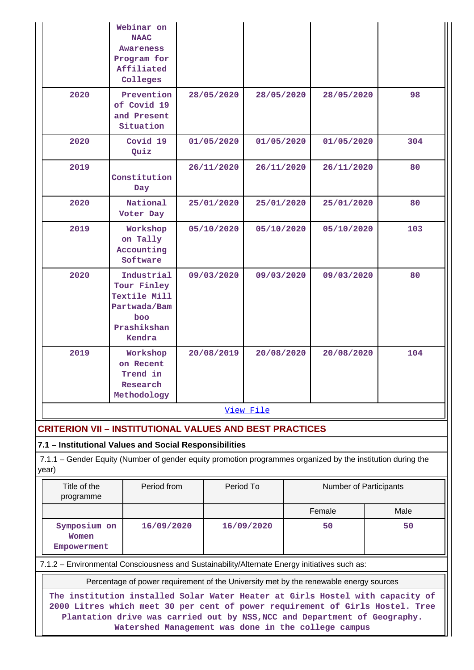|                                                                                                                                                                                                                                                                                                    | Webinar on<br><b>NAAC</b><br>Awareness<br>Program for<br>Affiliated<br>Colleges                                                                                       |  |            |            |  |                        |  |      |  |
|----------------------------------------------------------------------------------------------------------------------------------------------------------------------------------------------------------------------------------------------------------------------------------------------------|-----------------------------------------------------------------------------------------------------------------------------------------------------------------------|--|------------|------------|--|------------------------|--|------|--|
| 2020                                                                                                                                                                                                                                                                                               | Prevention<br>of Covid 19<br>and Present<br>Situation                                                                                                                 |  | 28/05/2020 | 28/05/2020 |  | 28/05/2020             |  | 98   |  |
| 2020                                                                                                                                                                                                                                                                                               | Covid 19<br>Quiz                                                                                                                                                      |  | 01/05/2020 | 01/05/2020 |  | 01/05/2020             |  | 304  |  |
| 2019                                                                                                                                                                                                                                                                                               | Constitution<br>Day                                                                                                                                                   |  | 26/11/2020 | 26/11/2020 |  | 26/11/2020             |  | 80   |  |
| 2020                                                                                                                                                                                                                                                                                               | National<br>Voter Day                                                                                                                                                 |  | 25/01/2020 | 25/01/2020 |  | 25/01/2020             |  | 80   |  |
| 2019                                                                                                                                                                                                                                                                                               | Workshop<br>on Tally<br>Accounting<br>Software                                                                                                                        |  | 05/10/2020 | 05/10/2020 |  | 05/10/2020             |  | 103  |  |
| 2020                                                                                                                                                                                                                                                                                               | Industrial<br>Tour Finley<br>Textile Mill<br>Partwada/Bam<br>boo<br>Prashikshan<br>Kendra                                                                             |  | 09/03/2020 | 09/03/2020 |  | 09/03/2020             |  | 80   |  |
| 2019                                                                                                                                                                                                                                                                                               | Workshop<br>on Recent<br>Trend in<br>Research<br>Methodology                                                                                                          |  | 20/08/2019 | 20/08/2020 |  | 20/08/2020             |  | 104  |  |
|                                                                                                                                                                                                                                                                                                    |                                                                                                                                                                       |  |            | View File  |  |                        |  |      |  |
| <b>CRITERION VII - INSTITUTIONAL VALUES AND BEST PRACTICES</b>                                                                                                                                                                                                                                     |                                                                                                                                                                       |  |            |            |  |                        |  |      |  |
| year)                                                                                                                                                                                                                                                                                              | 7.1 - Institutional Values and Social Responsibilities<br>7.1.1 – Gender Equity (Number of gender equity promotion programmes organized by the institution during the |  |            |            |  |                        |  |      |  |
| Title of the<br>programme                                                                                                                                                                                                                                                                          | Period from                                                                                                                                                           |  | Period To  |            |  | Number of Participants |  |      |  |
|                                                                                                                                                                                                                                                                                                    |                                                                                                                                                                       |  |            |            |  | Female                 |  | Male |  |
| Women                                                                                                                                                                                                                                                                                              | Symposium on<br>16/09/2020<br>16/09/2020<br>50<br>50<br>Empowerment                                                                                                   |  |            |            |  |                        |  |      |  |
|                                                                                                                                                                                                                                                                                                    | 7.1.2 - Environmental Consciousness and Sustainability/Alternate Energy initiatives such as:                                                                          |  |            |            |  |                        |  |      |  |
|                                                                                                                                                                                                                                                                                                    | Percentage of power requirement of the University met by the renewable energy sources                                                                                 |  |            |            |  |                        |  |      |  |
| The institution installed Solar Water Heater at Girls Hostel with capacity of<br>2000 Litres which meet 30 per cent of power requirement of Girls Hostel. Tree<br>Plantation drive was carried out by NSS, NCC and Department of Geography.<br>Watershed Management was done in the college campus |                                                                                                                                                                       |  |            |            |  |                        |  |      |  |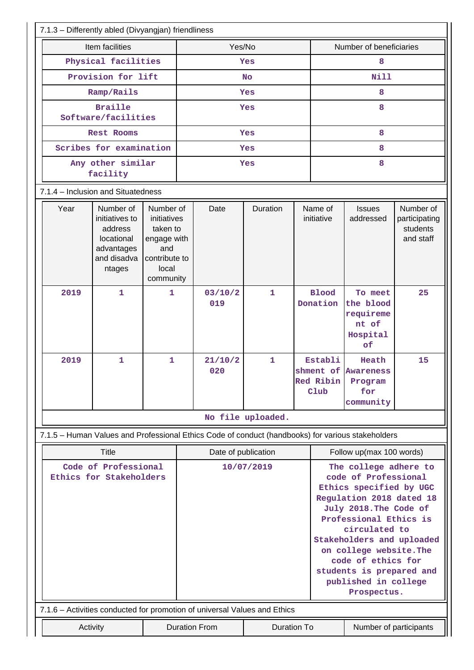| 7.1.3 - Differently abled (Divyangjan) friendliness                                               |                                                                                                                                                                                                  |              |                     |                      |                    |                          |                                                                                                                                                                                                                                                                                                                            |                                                              |                                                     |
|---------------------------------------------------------------------------------------------------|--------------------------------------------------------------------------------------------------------------------------------------------------------------------------------------------------|--------------|---------------------|----------------------|--------------------|--------------------------|----------------------------------------------------------------------------------------------------------------------------------------------------------------------------------------------------------------------------------------------------------------------------------------------------------------------------|--------------------------------------------------------------|-----------------------------------------------------|
|                                                                                                   | Item facilities                                                                                                                                                                                  |              | Yes/No              |                      |                    | Number of beneficiaries  |                                                                                                                                                                                                                                                                                                                            |                                                              |                                                     |
|                                                                                                   | Physical facilities                                                                                                                                                                              |              | Yes                 |                      |                    | 8                        |                                                                                                                                                                                                                                                                                                                            |                                                              |                                                     |
|                                                                                                   | Provision for lift                                                                                                                                                                               |              |                     |                      | <b>No</b>          |                          |                                                                                                                                                                                                                                                                                                                            | <b>Nill</b>                                                  |                                                     |
|                                                                                                   | Ramp/Rails                                                                                                                                                                                       |              |                     |                      | Yes                |                          |                                                                                                                                                                                                                                                                                                                            | 8                                                            |                                                     |
| <b>Braille</b><br>Software/facilities                                                             |                                                                                                                                                                                                  |              |                     |                      | Yes                |                          |                                                                                                                                                                                                                                                                                                                            | 8                                                            |                                                     |
|                                                                                                   | <b>Rest Rooms</b>                                                                                                                                                                                |              |                     |                      | <b>Yes</b>         |                          |                                                                                                                                                                                                                                                                                                                            | 8                                                            |                                                     |
|                                                                                                   | Scribes for examination                                                                                                                                                                          |              |                     |                      | Yes                |                          |                                                                                                                                                                                                                                                                                                                            | 8                                                            |                                                     |
|                                                                                                   | Any other similar<br>facility                                                                                                                                                                    |              |                     |                      | Yes                |                          |                                                                                                                                                                                                                                                                                                                            | 8                                                            |                                                     |
| 7.1.4 - Inclusion and Situatedness                                                                |                                                                                                                                                                                                  |              |                     |                      |                    |                          |                                                                                                                                                                                                                                                                                                                            |                                                              |                                                     |
| Year                                                                                              | Number of<br>Number of<br>initiatives to<br>initiatives<br>taken to<br>address<br>locational<br>engage with<br>advantages<br>and<br>and disadva<br>contribute to<br>local<br>ntages<br>community |              |                     | Date                 | Duration           |                          | Name of<br>initiative                                                                                                                                                                                                                                                                                                      | <b>Issues</b><br>addressed                                   | Number of<br>participating<br>students<br>and staff |
| 2019                                                                                              | $\mathbf{1}$                                                                                                                                                                                     | 1            |                     | 03/10/2<br>019       | $\mathbf{1}$       |                          | <b>Blood</b><br>Donation                                                                                                                                                                                                                                                                                                   | To meet<br>the blood<br>requireme<br>nt of<br>Hospital<br>of | 25                                                  |
| 2019                                                                                              | 1                                                                                                                                                                                                | $\mathbf{1}$ |                     | 21/10/2<br>020       | 1                  |                          | Establi<br>Red Ribin<br>Club                                                                                                                                                                                                                                                                                               | Heath<br>shment of Awareness<br>Program<br>for<br>community  | 15                                                  |
|                                                                                                   |                                                                                                                                                                                                  |              |                     |                      | No file uploaded.  |                          |                                                                                                                                                                                                                                                                                                                            |                                                              |                                                     |
| 7.1.5 - Human Values and Professional Ethics Code of conduct (handbooks) for various stakeholders |                                                                                                                                                                                                  |              |                     |                      |                    |                          |                                                                                                                                                                                                                                                                                                                            |                                                              |                                                     |
|                                                                                                   | Title                                                                                                                                                                                            |              | Date of publication |                      |                    | Follow up(max 100 words) |                                                                                                                                                                                                                                                                                                                            |                                                              |                                                     |
| Code of Professional<br>Ethics for Stakeholders                                                   |                                                                                                                                                                                                  |              |                     | 10/07/2019           |                    |                          | The college adhere to<br>code of Professional<br>Ethics specified by UGC<br>Regulation 2018 dated 18<br>July 2018. The Code of<br>Professional Ethics is<br>circulated to<br>Stakeholders and uploaded<br>on college website. The<br>code of ethics for<br>students is prepared and<br>published in college<br>Prospectus. |                                                              |                                                     |
| 7.1.6 - Activities conducted for promotion of universal Values and Ethics                         |                                                                                                                                                                                                  |              |                     |                      |                    |                          |                                                                                                                                                                                                                                                                                                                            |                                                              |                                                     |
| Activity                                                                                          |                                                                                                                                                                                                  |              |                     | <b>Duration From</b> | <b>Duration To</b> |                          |                                                                                                                                                                                                                                                                                                                            | Number of participants                                       |                                                     |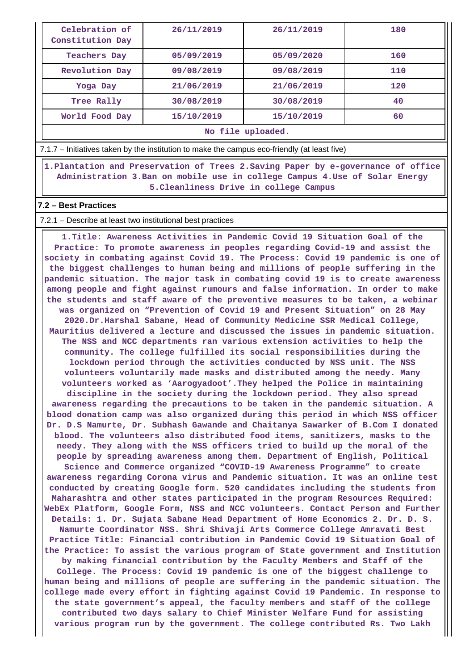| Celebration of<br>Constitution Day | 26/11/2019 | 26/11/2019 | 180 |  |  |  |
|------------------------------------|------------|------------|-----|--|--|--|
| Teachers Day                       | 05/09/2019 | 05/09/2020 | 160 |  |  |  |
| Revolution Day                     | 09/08/2019 | 09/08/2019 | 110 |  |  |  |
| Yoga Day                           | 21/06/2019 | 21/06/2019 | 120 |  |  |  |
| Tree Rally                         | 30/08/2019 | 30/08/2019 | 40  |  |  |  |
| World Food Day                     | 15/10/2019 | 15/10/2019 | 60  |  |  |  |
| No file uploaded.                  |            |            |     |  |  |  |

7.1.7 – Initiatives taken by the institution to make the campus eco-friendly (at least five)

 **1.Plantation and Preservation of Trees 2.Saving Paper by e-governance of office Administration 3.Ban on mobile use in college Campus 4.Use of Solar Energy 5.Cleanliness Drive in college Campus**

#### **7.2 – Best Practices**

#### 7.2.1 – Describe at least two institutional best practices

 **1.Title: Awareness Activities in Pandemic Covid 19 Situation Goal of the Practice: To promote awareness in peoples regarding Covid-19 and assist the society in combating against Covid 19. The Process: Covid 19 pandemic is one of the biggest challenges to human being and millions of people suffering in the pandemic situation. The major task in combating covid 19 is to create awareness among people and fight against rumours and false information. In order to make the students and staff aware of the preventive measures to be taken, a webinar was organized on "Prevention of Covid 19 and Present Situation" on 28 May 2020.Dr.Harshal Sabane, Head of Community Medicine SSR Medical College, Mauritius delivered a lecture and discussed the issues in pandemic situation. The NSS and NCC departments ran various extension activities to help the community. The college fulfilled its social responsibilities during the lockdown period through the activities conducted by NSS unit. The NSS volunteers voluntarily made masks and distributed among the needy. Many volunteers worked as 'Aarogyadoot'.They helped the Police in maintaining discipline in the society during the lockdown period. They also spread awareness regarding the precautions to be taken in the pandemic situation. A blood donation camp was also organized during this period in which NSS officer Dr. D.S Namurte, Dr. Subhash Gawande and Chaitanya Sawarker of B.Com I donated blood. The volunteers also distributed food items, sanitizers, masks to the needy. They along with the NSS officers tried to build up the moral of the people by spreading awareness among them. Department of English, Political Science and Commerce organized "COVID-19 Awareness Programme" to create awareness regarding Corona virus and Pandemic situation. It was an online test conducted by creating Google form. 520 candidates including the students from Maharashtra and other states participated in the program Resources Required: WebEx Platform, Google Form, NSS and NCC volunteers. Contact Person and Further Details: 1. Dr. Sujata Sabane Head Department of Home Economics 2. Dr. D. S. Namurte Coordinator NSS. Shri Shivaji Arts Commerce College Amravati Best Practice Title: Financial contribution in Pandemic Covid 19 Situation Goal of the Practice: To assist the various program of State government and Institution by making financial contribution by the Faculty Members and Staff of the College. The Process: Covid 19 pandemic is one of the biggest challenge to human being and millions of people are suffering in the pandemic situation. The college made every effort in fighting against Covid 19 Pandemic. In response to the state government's appeal, the faculty members and staff of the college contributed two days salary to Chief Minister Welfare Fund for assisting various program run by the government. The college contributed Rs. Two Lakh**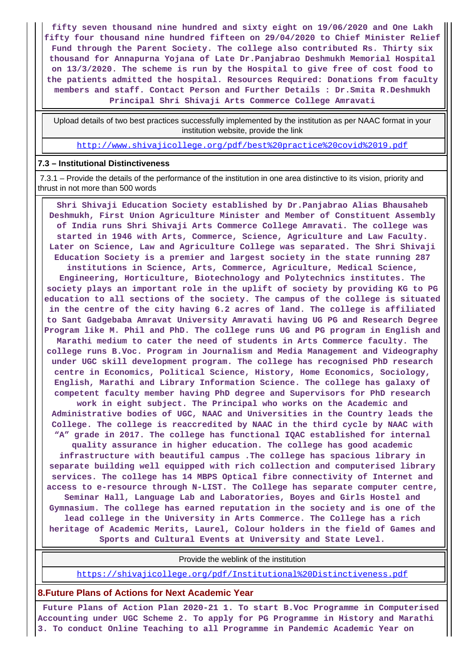**fifty seven thousand nine hundred and sixty eight on 19/06/2020 and One Lakh fifty four thousand nine hundred fifteen on 29/04/2020 to Chief Minister Relief Fund through the Parent Society. The college also contributed Rs. Thirty six thousand for Annapurna Yojana of Late Dr.Panjabrao Deshmukh Memorial Hospital on 13/3/2020. The scheme is run by the Hospital to give free of cost food to the patients admitted the hospital. Resources Required: Donations from faculty members and staff. Contact Person and Further Details : Dr.Smita R.Deshmukh Principal Shri Shivaji Arts Commerce College Amravati**

 Upload details of two best practices successfully implemented by the institution as per NAAC format in your institution website, provide the link

<http://www.shivajicollege.org/pdf/best%20practice%20covid%2019.pdf>

#### **7.3 – Institutional Distinctiveness**

 7.3.1 – Provide the details of the performance of the institution in one area distinctive to its vision, priority and thrust in not more than 500 words

 **Shri Shivaji Education Society established by Dr.Panjabrao Alias Bhausaheb Deshmukh, First Union Agriculture Minister and Member of Constituent Assembly of India runs Shri Shivaji Arts Commerce College Amravati. The college was started in 1946 with Arts, Commerce, Science, Agriculture and Law Faculty. Later on Science, Law and Agriculture College was separated. The Shri Shivaji Education Society is a premier and largest society in the state running 287 institutions in Science, Arts, Commerce, Agriculture, Medical Science, Engineering, Horticulture, Biotechnology and Polytechnics institutes. The society plays an important role in the uplift of society by providing KG to PG education to all sections of the society. The campus of the college is situated in the centre of the city having 6.2 acres of land. The college is affiliated to Sant Gadgebaba Amravat University Amravati having UG PG and Research Degree Program like M. Phil and PhD. The college runs UG and PG program in English and Marathi medium to cater the need of students in Arts Commerce faculty. The college runs B.Voc. Program in Journalism and Media Management and Videography under UGC skill development program. The college has recognised PhD research centre in Economics, Political Science, History, Home Economics, Sociology, English, Marathi and Library Information Science. The college has galaxy of competent faculty member having PhD degree and Supervisors for PhD research work in eight subject. The Principal who works on the Academic and Administrative bodies of UGC, NAAC and Universities in the Country leads the College. The college is reaccredited by NAAC in the third cycle by NAAC with "A" grade in 2017. The college has functional IQAC established for internal quality assurance in higher education. The college has good academic infrastructure with beautiful campus .The college has spacious library in separate building well equipped with rich collection and computerised library services. The college has 14 MBPS Optical fibre connectivity of Internet and access to e-resource through N-LIST. The College has separate computer centre, Seminar Hall, Language Lab and Laboratories, Boyes and Girls Hostel and Gymnasium. The college has earned reputation in the society and is one of the lead college in the University in Arts Commerce. The College has a rich heritage of Academic Merits, Laurel, Colour holders in the field of Games and Sports and Cultural Events at University and State Level.**

Provide the weblink of the institution

<https://shivajicollege.org/pdf/Institutional%20Distinctiveness.pdf>

#### **8.Future Plans of Actions for Next Academic Year**

 **Future Plans of Action Plan 2020-21 1. To start B.Voc Programme in Computerised Accounting under UGC Scheme 2. To apply for PG Programme in History and Marathi 3. To conduct Online Teaching to all Programme in Pandemic Academic Year on**